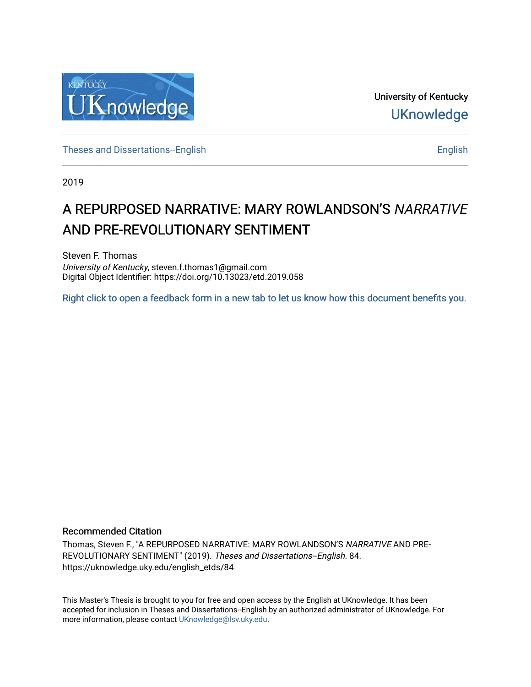

University of Kentucky **UKnowledge** 

[Theses and Dissertations--English](https://uknowledge.uky.edu/english_etds) [English](https://uknowledge.uky.edu/english) English English English

2019

# A REPURPOSED NARRATIVE: MARY ROWLANDSON'S NARRATIVE AND PRE-REVOLUTIONARY SENTIMENT

Steven F. Thomas University of Kentucky, steven.f.thomas1@gmail.com Digital Object Identifier: https://doi.org/10.13023/etd.2019.058

[Right click to open a feedback form in a new tab to let us know how this document benefits you.](https://uky.az1.qualtrics.com/jfe/form/SV_9mq8fx2GnONRfz7)

#### Recommended Citation

Thomas, Steven F., "A REPURPOSED NARRATIVE: MARY ROWLANDSON'S NARRATIVE AND PRE-REVOLUTIONARY SENTIMENT" (2019). Theses and Dissertations--English. 84. https://uknowledge.uky.edu/english\_etds/84

This Master's Thesis is brought to you for free and open access by the English at UKnowledge. It has been accepted for inclusion in Theses and Dissertations--English by an authorized administrator of UKnowledge. For more information, please contact [UKnowledge@lsv.uky.edu](mailto:UKnowledge@lsv.uky.edu).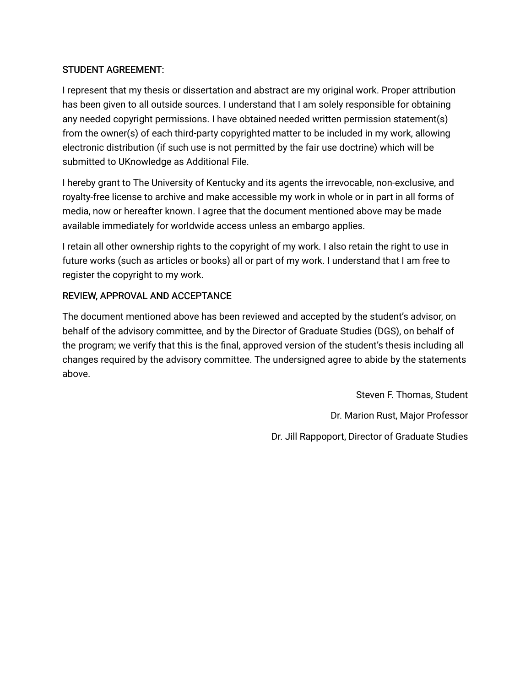# STUDENT AGREEMENT:

I represent that my thesis or dissertation and abstract are my original work. Proper attribution has been given to all outside sources. I understand that I am solely responsible for obtaining any needed copyright permissions. I have obtained needed written permission statement(s) from the owner(s) of each third-party copyrighted matter to be included in my work, allowing electronic distribution (if such use is not permitted by the fair use doctrine) which will be submitted to UKnowledge as Additional File.

I hereby grant to The University of Kentucky and its agents the irrevocable, non-exclusive, and royalty-free license to archive and make accessible my work in whole or in part in all forms of media, now or hereafter known. I agree that the document mentioned above may be made available immediately for worldwide access unless an embargo applies.

I retain all other ownership rights to the copyright of my work. I also retain the right to use in future works (such as articles or books) all or part of my work. I understand that I am free to register the copyright to my work.

# REVIEW, APPROVAL AND ACCEPTANCE

The document mentioned above has been reviewed and accepted by the student's advisor, on behalf of the advisory committee, and by the Director of Graduate Studies (DGS), on behalf of the program; we verify that this is the final, approved version of the student's thesis including all changes required by the advisory committee. The undersigned agree to abide by the statements above.

> Steven F. Thomas, Student Dr. Marion Rust, Major Professor Dr. Jill Rappoport, Director of Graduate Studies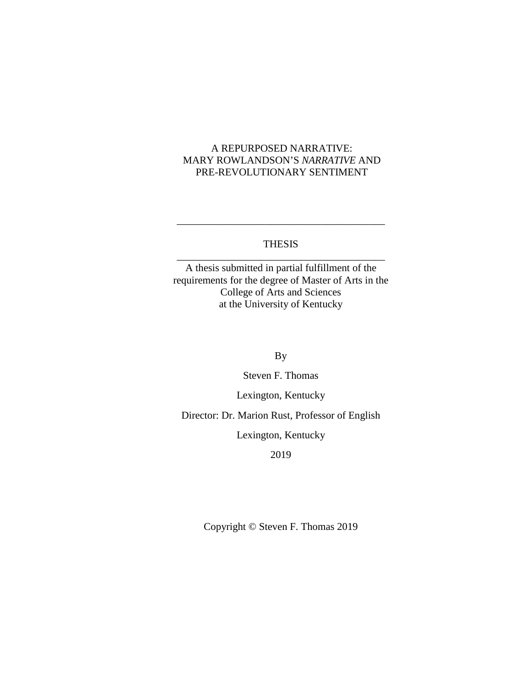## A REPURPOSED NARRATIVE: MARY ROWLANDSON'S *NARRATIVE* AND PRE-REVOLUTIONARY SENTIMENT

# THESIS \_\_\_\_\_\_\_\_\_\_\_\_\_\_\_\_\_\_\_\_\_\_\_\_\_\_\_\_\_\_\_\_\_\_\_\_\_\_\_\_

\_\_\_\_\_\_\_\_\_\_\_\_\_\_\_\_\_\_\_\_\_\_\_\_\_\_\_\_\_\_\_\_\_\_\_\_\_\_\_\_

A thesis submitted in partial fulfillment of the requirements for the degree of Master of Arts in the College of Arts and Sciences at the University of Kentucky

By

Steven F. Thomas

Lexington, Kentucky

Director: Dr. Marion Rust, Professor of English

Lexington, Kentucky

2019

Copyright © Steven F. Thomas 2019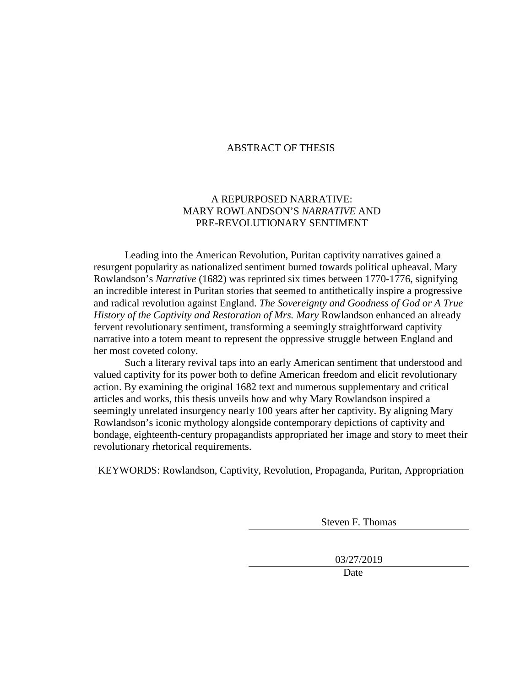## ABSTRACT OF THESIS

## A REPURPOSED NARRATIVE: MARY ROWLANDSON'S *NARRATIVE* AND PRE-REVOLUTIONARY SENTIMENT

Leading into the American Revolution, Puritan captivity narratives gained a resurgent popularity as nationalized sentiment burned towards political upheaval. Mary Rowlandson's *Narrative* (1682) was reprinted six times between 1770-1776, signifying an incredible interest in Puritan stories that seemed to antithetically inspire a progressive and radical revolution against England. *The Sovereignty and Goodness of God or A True History of the Captivity and Restoration of Mrs. Mary* Rowlandson enhanced an already fervent revolutionary sentiment, transforming a seemingly straightforward captivity narrative into a totem meant to represent the oppressive struggle between England and her most coveted colony.

Such a literary revival taps into an early American sentiment that understood and valued captivity for its power both to define American freedom and elicit revolutionary action. By examining the original 1682 text and numerous supplementary and critical articles and works, this thesis unveils how and why Mary Rowlandson inspired a seemingly unrelated insurgency nearly 100 years after her captivity. By aligning Mary Rowlandson's iconic mythology alongside contemporary depictions of captivity and bondage, eighteenth-century propagandists appropriated her image and story to meet their revolutionary rhetorical requirements.

KEYWORDS: Rowlandson, Captivity, Revolution, Propaganda, Puritan, Appropriation

Steven F. Thomas

03/27/2019

Date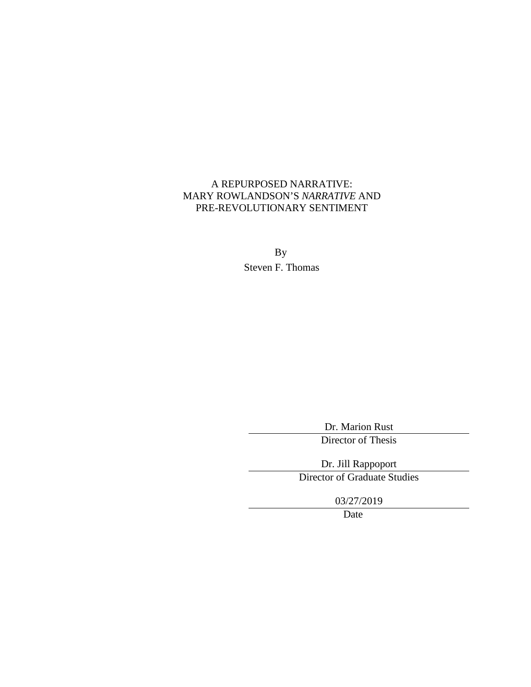# A REPURPOSED NARRATIVE: MARY ROWLANDSON'S *NARRATIVE* AND PRE-REVOLUTIONARY SENTIMENT

By Steven F. Thomas

Dr. Marion Rust

Director of Thesis

Dr. Jill Rappoport

Director of Graduate Studies

03/27/2019

Date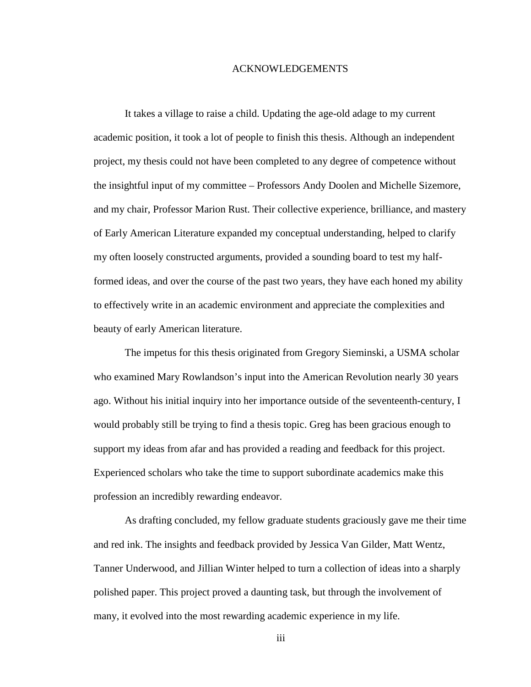#### ACKNOWLEDGEMENTS

<span id="page-5-0"></span>It takes a village to raise a child. Updating the age-old adage to my current academic position, it took a lot of people to finish this thesis. Although an independent project, my thesis could not have been completed to any degree of competence without the insightful input of my committee – Professors Andy Doolen and Michelle Sizemore, and my chair, Professor Marion Rust. Their collective experience, brilliance, and mastery of Early American Literature expanded my conceptual understanding, helped to clarify my often loosely constructed arguments, provided a sounding board to test my halfformed ideas, and over the course of the past two years, they have each honed my ability to effectively write in an academic environment and appreciate the complexities and beauty of early American literature.

The impetus for this thesis originated from Gregory Sieminski, a USMA scholar who examined Mary Rowlandson's input into the American Revolution nearly 30 years ago. Without his initial inquiry into her importance outside of the seventeenth-century, I would probably still be trying to find a thesis topic. Greg has been gracious enough to support my ideas from afar and has provided a reading and feedback for this project. Experienced scholars who take the time to support subordinate academics make this profession an incredibly rewarding endeavor.

As drafting concluded, my fellow graduate students graciously gave me their time and red ink. The insights and feedback provided by Jessica Van Gilder, Matt Wentz, Tanner Underwood, and Jillian Winter helped to turn a collection of ideas into a sharply polished paper. This project proved a daunting task, but through the involvement of many, it evolved into the most rewarding academic experience in my life.

iii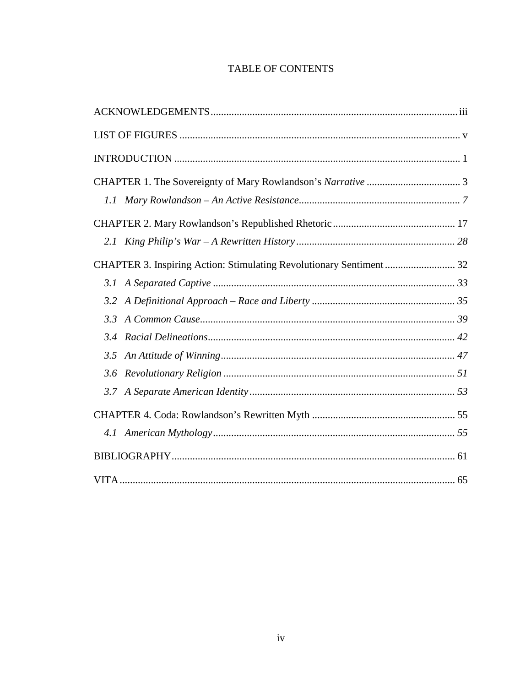# TABLE OF CONTENTS

| $L\bar{L}$                                                           |  |
|----------------------------------------------------------------------|--|
|                                                                      |  |
| 2.I                                                                  |  |
| CHAPTER 3. Inspiring Action: Stimulating Revolutionary Sentiment  32 |  |
| 3.1                                                                  |  |
| 3.2                                                                  |  |
| 3.3                                                                  |  |
| 3.4                                                                  |  |
| 3.5                                                                  |  |
| 3.6                                                                  |  |
| 3.7                                                                  |  |
|                                                                      |  |
| 4.1                                                                  |  |
|                                                                      |  |
|                                                                      |  |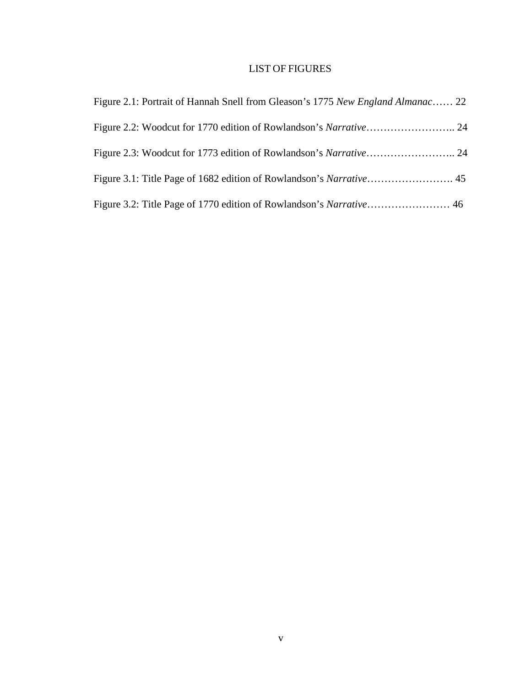# LIST OF FIGURES

<span id="page-7-0"></span>

| Figure 2.1: Portrait of Hannah Snell from Gleason's 1775 New England Almanac 22 |  |
|---------------------------------------------------------------------------------|--|
|                                                                                 |  |
|                                                                                 |  |
|                                                                                 |  |
|                                                                                 |  |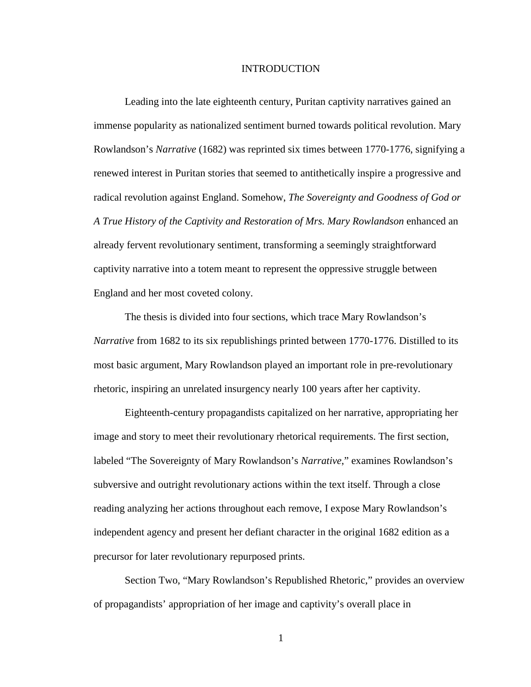#### INTRODUCTION

<span id="page-8-0"></span>Leading into the late eighteenth century, Puritan captivity narratives gained an immense popularity as nationalized sentiment burned towards political revolution. Mary Rowlandson's *Narrative* (1682) was reprinted six times between 1770-1776, signifying a renewed interest in Puritan stories that seemed to antithetically inspire a progressive and radical revolution against England. Somehow, *The Sovereignty and Goodness of God or A True History of the Captivity and Restoration of Mrs. Mary Rowlandson* enhanced an already fervent revolutionary sentiment, transforming a seemingly straightforward captivity narrative into a totem meant to represent the oppressive struggle between England and her most coveted colony.

The thesis is divided into four sections, which trace Mary Rowlandson's *Narrative* from 1682 to its six republishings printed between 1770-1776. Distilled to its most basic argument, Mary Rowlandson played an important role in pre-revolutionary rhetoric, inspiring an unrelated insurgency nearly 100 years after her captivity.

Eighteenth-century propagandists capitalized on her narrative, appropriating her image and story to meet their revolutionary rhetorical requirements. The first section, labeled "The Sovereignty of Mary Rowlandson's *Narrative*," examines Rowlandson's subversive and outright revolutionary actions within the text itself. Through a close reading analyzing her actions throughout each remove, I expose Mary Rowlandson's independent agency and present her defiant character in the original 1682 edition as a precursor for later revolutionary repurposed prints.

Section Two, "Mary Rowlandson's Republished Rhetoric," provides an overview of propagandists' appropriation of her image and captivity's overall place in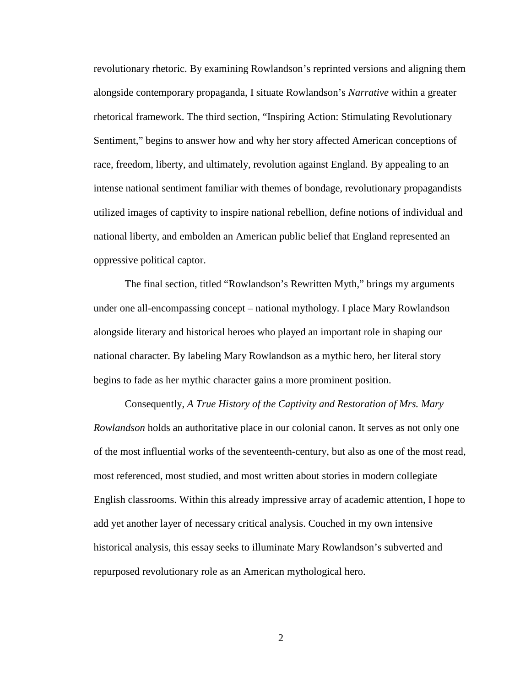revolutionary rhetoric. By examining Rowlandson's reprinted versions and aligning them alongside contemporary propaganda, I situate Rowlandson's *Narrative* within a greater rhetorical framework. The third section, "Inspiring Action: Stimulating Revolutionary Sentiment," begins to answer how and why her story affected American conceptions of race, freedom, liberty, and ultimately, revolution against England. By appealing to an intense national sentiment familiar with themes of bondage, revolutionary propagandists utilized images of captivity to inspire national rebellion, define notions of individual and national liberty, and embolden an American public belief that England represented an oppressive political captor.

The final section, titled "Rowlandson's Rewritten Myth," brings my arguments under one all-encompassing concept – national mythology. I place Mary Rowlandson alongside literary and historical heroes who played an important role in shaping our national character. By labeling Mary Rowlandson as a mythic hero, her literal story begins to fade as her mythic character gains a more prominent position.

Consequently, *A True History of the Captivity and Restoration of Mrs. Mary Rowlandson* holds an authoritative place in our colonial canon. It serves as not only one of the most influential works of the seventeenth-century, but also as one of the most read, most referenced, most studied, and most written about stories in modern collegiate English classrooms. Within this already impressive array of academic attention, I hope to add yet another layer of necessary critical analysis. Couched in my own intensive historical analysis, this essay seeks to illuminate Mary Rowlandson's subverted and repurposed revolutionary role as an American mythological hero.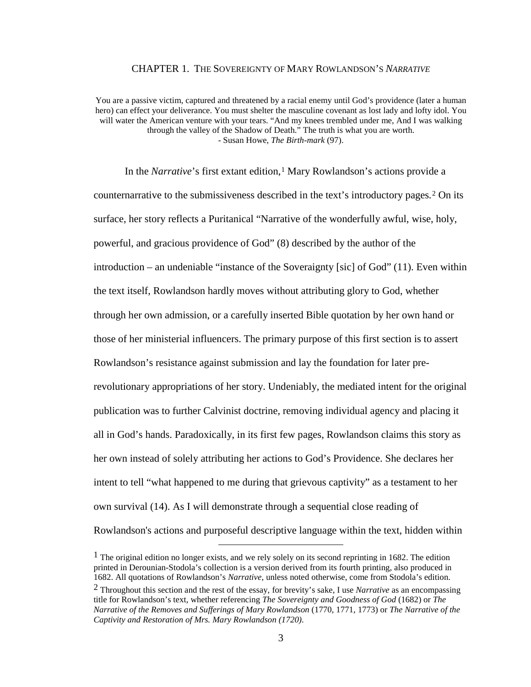#### CHAPTER 1. THE SOVEREIGNTY OF MARY ROWLANDSON'S *NARRATIVE*

<span id="page-10-0"></span>You are a passive victim, captured and threatened by a racial enemy until God's providence (later a human hero) can effect your deliverance. You must shelter the masculine covenant as lost lady and lofty idol. You will water the American venture with your tears. "And my knees trembled under me, And I was walking through the valley of the Shadow of Death." The truth is what you are worth. - Susan Howe, *The Birth-mark* (97).

In the *Narrative*'s first extant edition,<sup>[1](#page-10-1)</sup> Mary Rowlandson's actions provide a counternarrative to the submissiveness described in the text's introductory pages*.*[2](#page-10-2) On its surface, her story reflects a Puritanical "Narrative of the wonderfully awful, wise, holy, powerful, and gracious providence of God" (8) described by the author of the introduction – an undeniable "instance of the Soveraignty [sic] of God" (11). Even within the text itself, Rowlandson hardly moves without attributing glory to God, whether through her own admission, or a carefully inserted Bible quotation by her own hand or those of her ministerial influencers. The primary purpose of this first section is to assert Rowlandson's resistance against submission and lay the foundation for later prerevolutionary appropriations of her story. Undeniably, the mediated intent for the original publication was to further Calvinist doctrine, removing individual agency and placing it all in God's hands. Paradoxically, in its first few pages, Rowlandson claims this story as her own instead of solely attributing her actions to God's Providence. She declares her intent to tell "what happened to me during that grievous captivity" as a testament to her own survival (14). As I will demonstrate through a sequential close reading of Rowlandson's actions and purposeful descriptive language within the text, hidden within

<span id="page-10-1"></span><sup>&</sup>lt;sup>1</sup> The original edition no longer exists, and we rely solely on its second reprinting in 1682. The edition printed in Derounian-Stodola's collection is a version derived from its fourth printing, also produced in 1682. All quotations of Rowlandson's *Narrative*, unless noted otherwise, come from Stodola's edition.

<span id="page-10-2"></span><sup>2</sup> Throughout this section and the rest of the essay, for brevity's sake, I use *Narrative* as an encompassing title for Rowlandson's text, whether referencing *The Sovereignty and Goodness of God* (1682) or *The Narrative of the Removes and Sufferings of Mary Rowlandson* (1770, 1771, 1773) or *The Narrative of the Captivity and Restoration of Mrs. Mary Rowlandson (1720)*.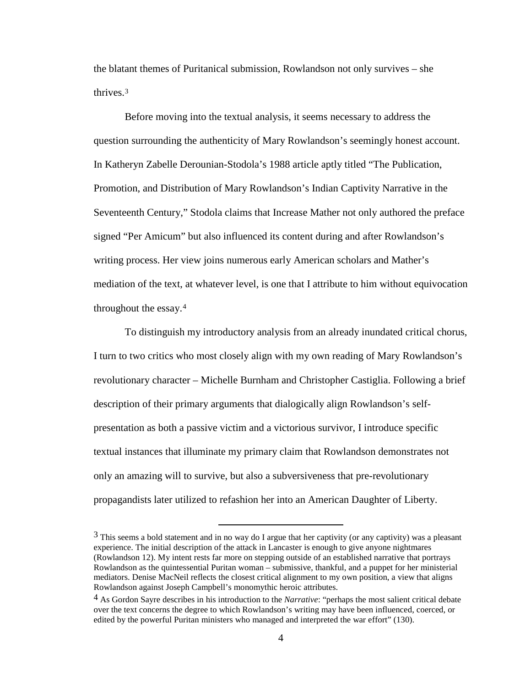the blatant themes of Puritanical submission, Rowlandson not only survives – she thrives.[3](#page-11-0)

Before moving into the textual analysis, it seems necessary to address the question surrounding the authenticity of Mary Rowlandson's seemingly honest account. In Katheryn Zabelle Derounian-Stodola's 1988 article aptly titled "The Publication, Promotion, and Distribution of Mary Rowlandson's Indian Captivity Narrative in the Seventeenth Century," Stodola claims that Increase Mather not only authored the preface signed "Per Amicum" but also influenced its content during and after Rowlandson's writing process. Her view joins numerous early American scholars and Mather's mediation of the text, at whatever level, is one that I attribute to him without equivocation throughout the essay.[4](#page-11-1)

To distinguish my introductory analysis from an already inundated critical chorus, I turn to two critics who most closely align with my own reading of Mary Rowlandson's revolutionary character – Michelle Burnham and Christopher Castiglia. Following a brief description of their primary arguments that dialogically align Rowlandson's selfpresentation as both a passive victim and a victorious survivor, I introduce specific textual instances that illuminate my primary claim that Rowlandson demonstrates not only an amazing will to survive, but also a subversiveness that pre-revolutionary propagandists later utilized to refashion her into an American Daughter of Liberty.

<span id="page-11-0"></span> $3$  This seems a bold statement and in no way do I argue that her captivity (or any captivity) was a pleasant experience. The initial description of the attack in Lancaster is enough to give anyone nightmares (Rowlandson 12). My intent rests far more on stepping outside of an established narrative that portrays Rowlandson as the quintessential Puritan woman – submissive, thankful, and a puppet for her ministerial mediators. Denise MacNeil reflects the closest critical alignment to my own position, a view that aligns Rowlandson against Joseph Campbell's monomythic heroic attributes.

<span id="page-11-1"></span><sup>4</sup> As Gordon Sayre describes in his introduction to the *Narrative*: "perhaps the most salient critical debate over the text concerns the degree to which Rowlandson's writing may have been influenced, coerced, or edited by the powerful Puritan ministers who managed and interpreted the war effort" (130).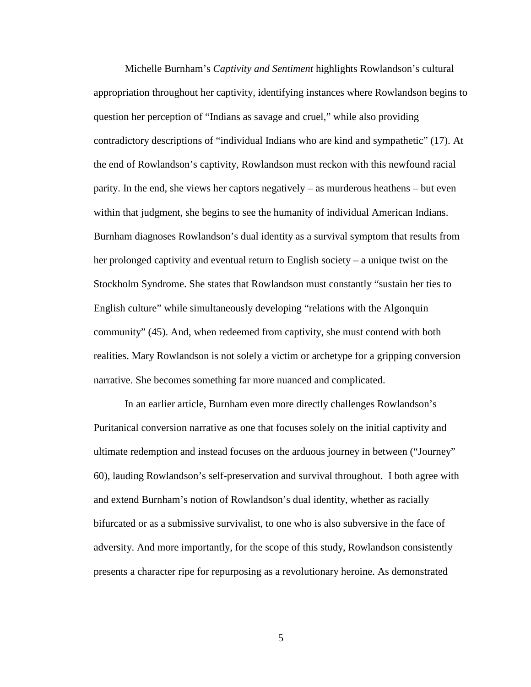Michelle Burnham's *Captivity and Sentiment* highlights Rowlandson's cultural appropriation throughout her captivity, identifying instances where Rowlandson begins to question her perception of "Indians as savage and cruel," while also providing contradictory descriptions of "individual Indians who are kind and sympathetic" (17). At the end of Rowlandson's captivity, Rowlandson must reckon with this newfound racial parity. In the end, she views her captors negatively – as murderous heathens – but even within that judgment, she begins to see the humanity of individual American Indians. Burnham diagnoses Rowlandson's dual identity as a survival symptom that results from her prolonged captivity and eventual return to English society – a unique twist on the Stockholm Syndrome. She states that Rowlandson must constantly "sustain her ties to English culture" while simultaneously developing "relations with the Algonquin community" (45). And, when redeemed from captivity, she must contend with both realities. Mary Rowlandson is not solely a victim or archetype for a gripping conversion narrative. She becomes something far more nuanced and complicated.

In an earlier article, Burnham even more directly challenges Rowlandson's Puritanical conversion narrative as one that focuses solely on the initial captivity and ultimate redemption and instead focuses on the arduous journey in between ("Journey" 60), lauding Rowlandson's self-preservation and survival throughout. I both agree with and extend Burnham's notion of Rowlandson's dual identity, whether as racially bifurcated or as a submissive survivalist, to one who is also subversive in the face of adversity. And more importantly, for the scope of this study, Rowlandson consistently presents a character ripe for repurposing as a revolutionary heroine. As demonstrated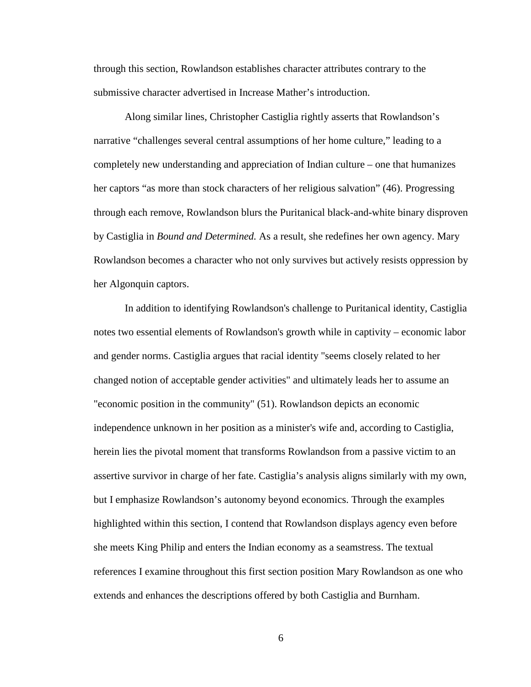through this section, Rowlandson establishes character attributes contrary to the submissive character advertised in Increase Mather's introduction.

Along similar lines, Christopher Castiglia rightly asserts that Rowlandson's narrative "challenges several central assumptions of her home culture," leading to a completely new understanding and appreciation of Indian culture – one that humanizes her captors "as more than stock characters of her religious salvation" (46). Progressing through each remove, Rowlandson blurs the Puritanical black-and-white binary disproven by Castiglia in *Bound and Determined.* As a result, she redefines her own agency. Mary Rowlandson becomes a character who not only survives but actively resists oppression by her Algonquin captors.

In addition to identifying Rowlandson's challenge to Puritanical identity, Castiglia notes two essential elements of Rowlandson's growth while in captivity – economic labor and gender norms. Castiglia argues that racial identity "seems closely related to her changed notion of acceptable gender activities" and ultimately leads her to assume an "economic position in the community" (51). Rowlandson depicts an economic independence unknown in her position as a minister's wife and, according to Castiglia, herein lies the pivotal moment that transforms Rowlandson from a passive victim to an assertive survivor in charge of her fate. Castiglia's analysis aligns similarly with my own, but I emphasize Rowlandson's autonomy beyond economics. Through the examples highlighted within this section, I contend that Rowlandson displays agency even before she meets King Philip and enters the Indian economy as a seamstress. The textual references I examine throughout this first section position Mary Rowlandson as one who extends and enhances the descriptions offered by both Castiglia and Burnham.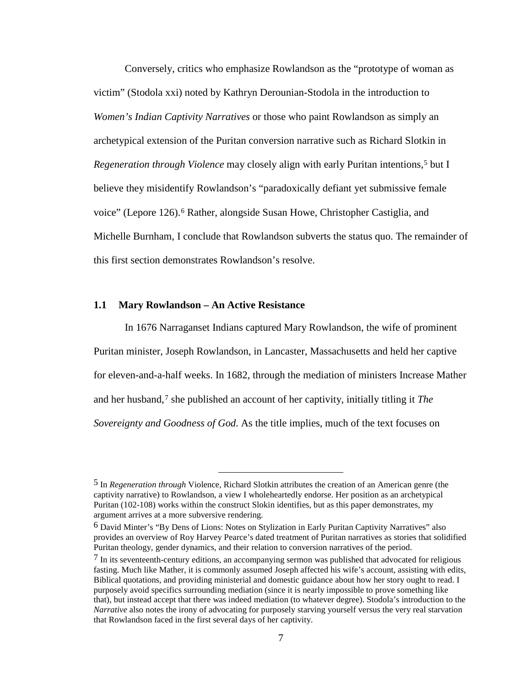Conversely, critics who emphasize Rowlandson as the "prototype of woman as victim" (Stodola xxi) noted by Kathryn Derounian-Stodola in the introduction to *Women's Indian Captivity Narratives* or those who paint Rowlandson as simply an archetypical extension of the Puritan conversion narrative such as Richard Slotkin in *Regeneration through Violence* may closely align with early Puritan intentions,[5](#page-14-1) but I believe they misidentify Rowlandson's "paradoxically defiant yet submissive female voice" (Lepore 126).[6](#page-14-2) Rather, alongside Susan Howe, Christopher Castiglia, and Michelle Burnham, I conclude that Rowlandson subverts the status quo. The remainder of this first section demonstrates Rowlandson's resolve.

#### <span id="page-14-0"></span>**1.1 Mary Rowlandson – An Active Resistance**

 $\overline{a}$ 

In 1676 Narraganset Indians captured Mary Rowlandson, the wife of prominent Puritan minister, Joseph Rowlandson, in Lancaster, Massachusetts and held her captive for eleven-and-a-half weeks. In 1682, through the mediation of ministers Increase Mather and her husband,<sup>[7](#page-14-3)</sup> she published an account of her captivity, initially titling it *The Sovereignty and Goodness of God*. As the title implies, much of the text focuses on

<span id="page-14-1"></span><sup>5</sup> In *Regeneration through* Violence, Richard Slotkin attributes the creation of an American genre (the captivity narrative) to Rowlandson, a view I wholeheartedly endorse. Her position as an archetypical Puritan (102-108) works within the construct Slokin identifies, but as this paper demonstrates, my argument arrives at a more subversive rendering.

<span id="page-14-2"></span><sup>6</sup> David Minter's "By Dens of Lions: Notes on Stylization in Early Puritan Captivity Narratives" also provides an overview of Roy Harvey Pearce's dated treatment of Puritan narratives as stories that solidified Puritan theology, gender dynamics, and their relation to conversion narratives of the period.

<span id="page-14-3"></span> $<sup>7</sup>$  In its seventeenth-century editions, an accompanying sermon was published that advocated for religious</sup> fasting. Much like Mather, it is commonly assumed Joseph affected his wife's account, assisting with edits, Biblical quotations, and providing ministerial and domestic guidance about how her story ought to read. I purposely avoid specifics surrounding mediation (since it is nearly impossible to prove something like that), but instead accept that there was indeed mediation (to whatever degree). Stodola's introduction to the *Narrative* also notes the irony of advocating for purposely starving yourself versus the very real starvation that Rowlandson faced in the first several days of her captivity.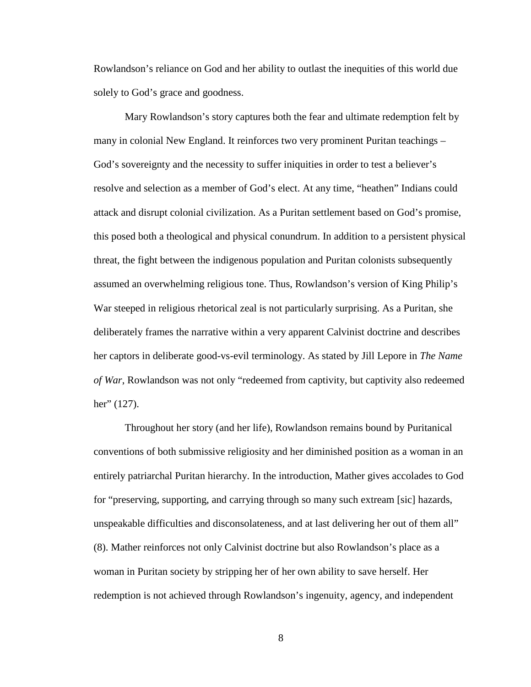Rowlandson's reliance on God and her ability to outlast the inequities of this world due solely to God's grace and goodness.

Mary Rowlandson's story captures both the fear and ultimate redemption felt by many in colonial New England. It reinforces two very prominent Puritan teachings – God's sovereignty and the necessity to suffer iniquities in order to test a believer's resolve and selection as a member of God's elect. At any time, "heathen" Indians could attack and disrupt colonial civilization. As a Puritan settlement based on God's promise, this posed both a theological and physical conundrum. In addition to a persistent physical threat, the fight between the indigenous population and Puritan colonists subsequently assumed an overwhelming religious tone. Thus, Rowlandson's version of King Philip's War steeped in religious rhetorical zeal is not particularly surprising. As a Puritan, she deliberately frames the narrative within a very apparent Calvinist doctrine and describes her captors in deliberate good-vs-evil terminology. As stated by Jill Lepore in *The Name of War*, Rowlandson was not only "redeemed from captivity, but captivity also redeemed her" (127).

Throughout her story (and her life), Rowlandson remains bound by Puritanical conventions of both submissive religiosity and her diminished position as a woman in an entirely patriarchal Puritan hierarchy. In the introduction, Mather gives accolades to God for "preserving, supporting, and carrying through so many such extream [sic] hazards, unspeakable difficulties and disconsolateness, and at last delivering her out of them all" (8). Mather reinforces not only Calvinist doctrine but also Rowlandson's place as a woman in Puritan society by stripping her of her own ability to save herself. Her redemption is not achieved through Rowlandson's ingenuity, agency, and independent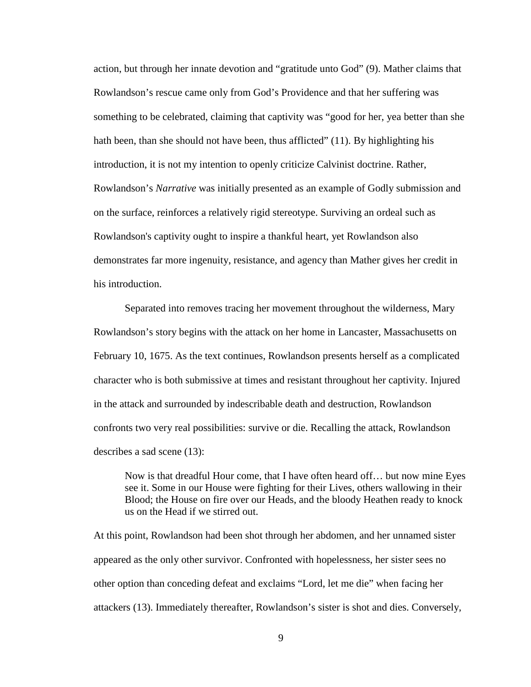action, but through her innate devotion and "gratitude unto God" (9). Mather claims that Rowlandson's rescue came only from God's Providence and that her suffering was something to be celebrated, claiming that captivity was "good for her, yea better than she hath been, than she should not have been, thus afflicted" (11). By highlighting his introduction, it is not my intention to openly criticize Calvinist doctrine. Rather, Rowlandson's *Narrative* was initially presented as an example of Godly submission and on the surface, reinforces a relatively rigid stereotype. Surviving an ordeal such as Rowlandson's captivity ought to inspire a thankful heart, yet Rowlandson also demonstrates far more ingenuity, resistance, and agency than Mather gives her credit in his introduction.

Separated into removes tracing her movement throughout the wilderness, Mary Rowlandson's story begins with the attack on her home in Lancaster, Massachusetts on February 10, 1675. As the text continues, Rowlandson presents herself as a complicated character who is both submissive at times and resistant throughout her captivity. Injured in the attack and surrounded by indescribable death and destruction, Rowlandson confronts two very real possibilities: survive or die. Recalling the attack, Rowlandson describes a sad scene (13):

Now is that dreadful Hour come, that I have often heard off… but now mine Eyes see it. Some in our House were fighting for their Lives, others wallowing in their Blood; the House on fire over our Heads, and the bloody Heathen ready to knock us on the Head if we stirred out.

At this point, Rowlandson had been shot through her abdomen, and her unnamed sister appeared as the only other survivor. Confronted with hopelessness, her sister sees no other option than conceding defeat and exclaims "Lord, let me die" when facing her attackers (13). Immediately thereafter, Rowlandson's sister is shot and dies. Conversely,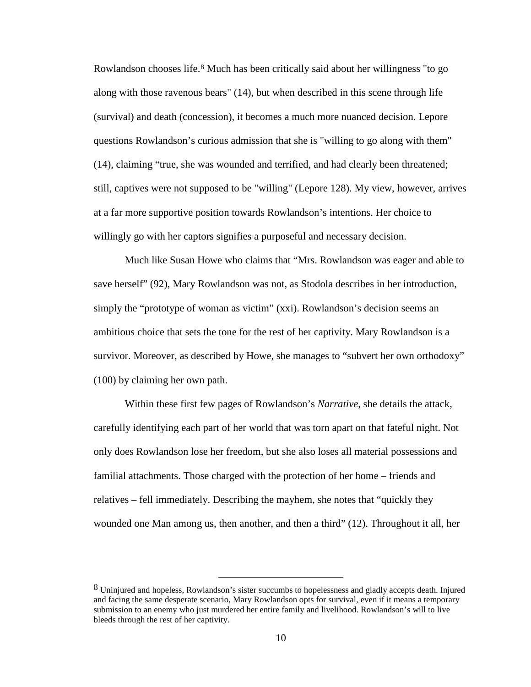Rowlandson chooses life.[8](#page-17-0) Much has been critically said about her willingness "to go along with those ravenous bears" (14), but when described in this scene through life (survival) and death (concession), it becomes a much more nuanced decision. Lepore questions Rowlandson's curious admission that she is "willing to go along with them" (14), claiming "true, she was wounded and terrified, and had clearly been threatened; still, captives were not supposed to be "willing" (Lepore 128). My view, however, arrives at a far more supportive position towards Rowlandson's intentions. Her choice to willingly go with her captors signifies a purposeful and necessary decision.

Much like Susan Howe who claims that "Mrs. Rowlandson was eager and able to save herself" (92), Mary Rowlandson was not, as Stodola describes in her introduction, simply the "prototype of woman as victim" (xxi). Rowlandson's decision seems an ambitious choice that sets the tone for the rest of her captivity. Mary Rowlandson is a survivor. Moreover, as described by Howe, she manages to "subvert her own orthodoxy" (100) by claiming her own path.

Within these first few pages of Rowlandson's *Narrative*, she details the attack, carefully identifying each part of her world that was torn apart on that fateful night. Not only does Rowlandson lose her freedom, but she also loses all material possessions and familial attachments. Those charged with the protection of her home – friends and relatives – fell immediately. Describing the mayhem, she notes that "quickly they wounded one Man among us, then another, and then a third" (12). Throughout it all, her

<span id="page-17-0"></span><sup>&</sup>lt;sup>8</sup> Uninjured and hopeless, Rowlandson's sister succumbs to hopelessness and gladly accepts death. Injured and facing the same desperate scenario, Mary Rowlandson opts for survival, even if it means a temporary submission to an enemy who just murdered her entire family and livelihood. Rowlandson's will to live bleeds through the rest of her captivity.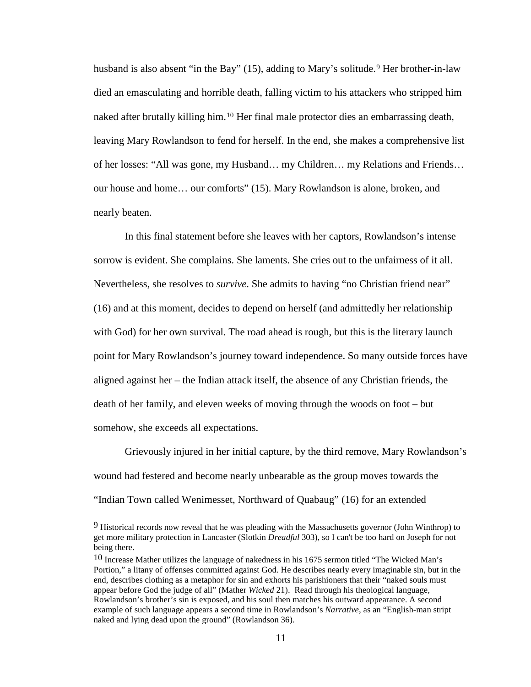husband is also absent "in the Bay" (15), adding to Mary's solitude.<sup>[9](#page-18-0)</sup> Her brother-in-law died an emasculating and horrible death, falling victim to his attackers who stripped him naked after brutally killing him.[10](#page-18-1) Her final male protector dies an embarrassing death, leaving Mary Rowlandson to fend for herself. In the end, she makes a comprehensive list of her losses: "All was gone, my Husband… my Children… my Relations and Friends… our house and home… our comforts" (15). Mary Rowlandson is alone, broken, and nearly beaten.

In this final statement before she leaves with her captors, Rowlandson's intense sorrow is evident. She complains. She laments. She cries out to the unfairness of it all. Nevertheless, she resolves to *survive*. She admits to having "no Christian friend near" (16) and at this moment, decides to depend on herself (and admittedly her relationship with God) for her own survival. The road ahead is rough, but this is the literary launch point for Mary Rowlandson's journey toward independence. So many outside forces have aligned against her – the Indian attack itself, the absence of any Christian friends, the death of her family, and eleven weeks of moving through the woods on foot – but somehow, she exceeds all expectations.

Grievously injured in her initial capture, by the third remove, Mary Rowlandson's wound had festered and become nearly unbearable as the group moves towards the "Indian Town called Wenimesset, Northward of Quabaug" (16) for an extended

<span id="page-18-0"></span><sup>9</sup> Historical records now reveal that he was pleading with the Massachusetts governor (John Winthrop) to get more military protection in Lancaster (Slotkin *Dreadful* 303), so I can't be too hard on Joseph for not being there.

<span id="page-18-1"></span><sup>10</sup> Increase Mather utilizes the language of nakedness in his 1675 sermon titled "The Wicked Man's Portion," a litany of offenses committed against God. He describes nearly every imaginable sin, but in the end, describes clothing as a metaphor for sin and exhorts his parishioners that their "naked souls must appear before God the judge of all" (Mather *Wicked* 21). Read through his theological language, Rowlandson's brother's sin is exposed, and his soul then matches his outward appearance. A second example of such language appears a second time in Rowlandson's *Narrative*, as an "English-man stript naked and lying dead upon the ground" (Rowlandson 36).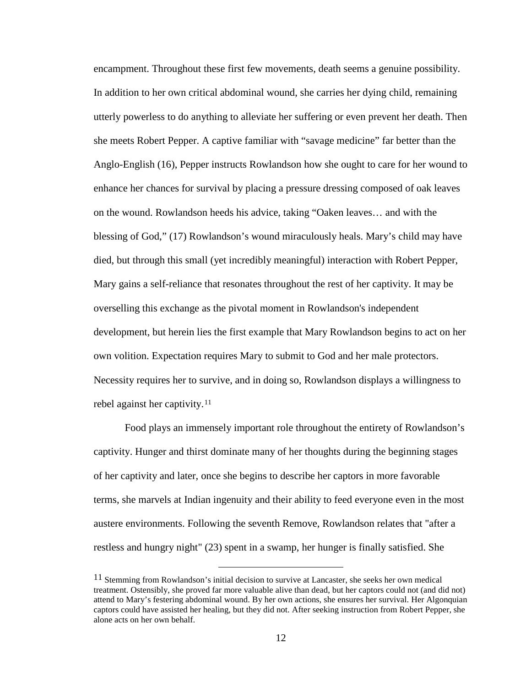encampment. Throughout these first few movements, death seems a genuine possibility. In addition to her own critical abdominal wound, she carries her dying child, remaining utterly powerless to do anything to alleviate her suffering or even prevent her death. Then she meets Robert Pepper. A captive familiar with "savage medicine" far better than the Anglo-English (16), Pepper instructs Rowlandson how she ought to care for her wound to enhance her chances for survival by placing a pressure dressing composed of oak leaves on the wound. Rowlandson heeds his advice, taking "Oaken leaves… and with the blessing of God," (17) Rowlandson's wound miraculously heals. Mary's child may have died, but through this small (yet incredibly meaningful) interaction with Robert Pepper, Mary gains a self-reliance that resonates throughout the rest of her captivity. It may be overselling this exchange as the pivotal moment in Rowlandson's independent development, but herein lies the first example that Mary Rowlandson begins to act on her own volition. Expectation requires Mary to submit to God and her male protectors. Necessity requires her to survive, and in doing so, Rowlandson displays a willingness to rebel against her captivity.[11](#page-19-0)

Food plays an immensely important role throughout the entirety of Rowlandson's captivity. Hunger and thirst dominate many of her thoughts during the beginning stages of her captivity and later, once she begins to describe her captors in more favorable terms, she marvels at Indian ingenuity and their ability to feed everyone even in the most austere environments. Following the seventh Remove, Rowlandson relates that "after a restless and hungry night" (23) spent in a swamp, her hunger is finally satisfied. She

<span id="page-19-0"></span><sup>11</sup> Stemming from Rowlandson's initial decision to survive at Lancaster, she seeks her own medical treatment. Ostensibly, she proved far more valuable alive than dead, but her captors could not (and did not) attend to Mary's festering abdominal wound. By her own actions, she ensures her survival. Her Algonquian captors could have assisted her healing, but they did not. After seeking instruction from Robert Pepper, she alone acts on her own behalf.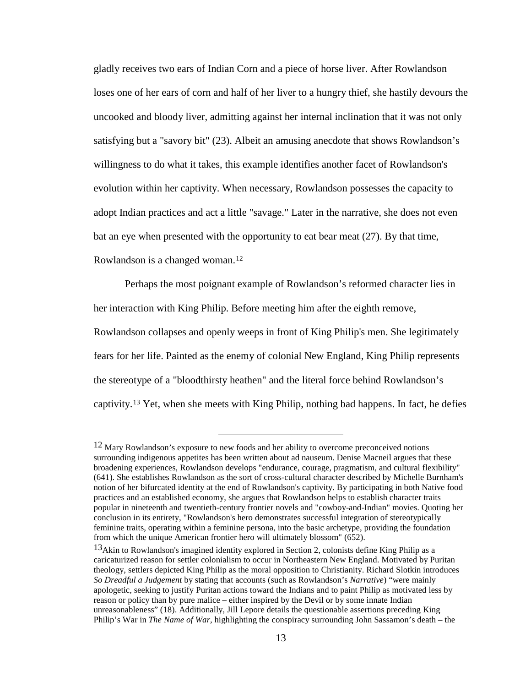gladly receives two ears of Indian Corn and a piece of horse liver. After Rowlandson loses one of her ears of corn and half of her liver to a hungry thief, she hastily devours the uncooked and bloody liver, admitting against her internal inclination that it was not only satisfying but a "savory bit" (23). Albeit an amusing anecdote that shows Rowlandson's willingness to do what it takes, this example identifies another facet of Rowlandson's evolution within her captivity. When necessary, Rowlandson possesses the capacity to adopt Indian practices and act a little "savage." Later in the narrative, she does not even bat an eye when presented with the opportunity to eat bear meat (27). By that time, Rowlandson is a changed woman.[12](#page-20-0)

Perhaps the most poignant example of Rowlandson's reformed character lies in her interaction with King Philip. Before meeting him after the eighth remove, Rowlandson collapses and openly weeps in front of King Philip's men. She legitimately fears for her life. Painted as the enemy of colonial New England, King Philip represents the stereotype of a "bloodthirsty heathen" and the literal force behind Rowlandson's captivity.[13](#page-20-1) Yet, when she meets with King Philip, nothing bad happens. In fact, he defies

<span id="page-20-0"></span><sup>12</sup> Mary Rowlandson's exposure to new foods and her ability to overcome preconceived notions surrounding indigenous appetites has been written about ad nauseum. Denise Macneil argues that these broadening experiences, Rowlandson develops "endurance, courage, pragmatism, and cultural flexibility" (641). She establishes Rowlandson as the sort of cross-cultural character described by Michelle Burnham's notion of her bifurcated identity at the end of Rowlandson's captivity. By participating in both Native food practices and an established economy, she argues that Rowlandson helps to establish character traits popular in nineteenth and twentieth-century frontier novels and "cowboy-and-Indian" movies. Quoting her conclusion in its entirety, "Rowlandson's hero demonstrates successful integration of stereotypically feminine traits, operating within a feminine persona, into the basic archetype, providing the foundation from which the unique American frontier hero will ultimately blossom" (652).

<span id="page-20-1"></span><sup>13</sup>Akin to Rowlandson's imagined identity explored in Section 2, colonists define King Philip as a caricaturized reason for settler colonialism to occur in Northeastern New England. Motivated by Puritan theology, settlers depicted King Philip as the moral opposition to Christianity. Richard Slotkin introduces *So Dreadful a Judgement* by stating that accounts (such as Rowlandson's *Narrative*) "were mainly apologetic, seeking to justify Puritan actions toward the Indians and to paint Philip as motivated less by reason or policy than by pure malice – either inspired by the Devil or by some innate Indian unreasonableness" (18). Additionally, Jill Lepore details the questionable assertions preceding King Philip's War in *The Name of War*, highlighting the conspiracy surrounding John Sassamon's death – the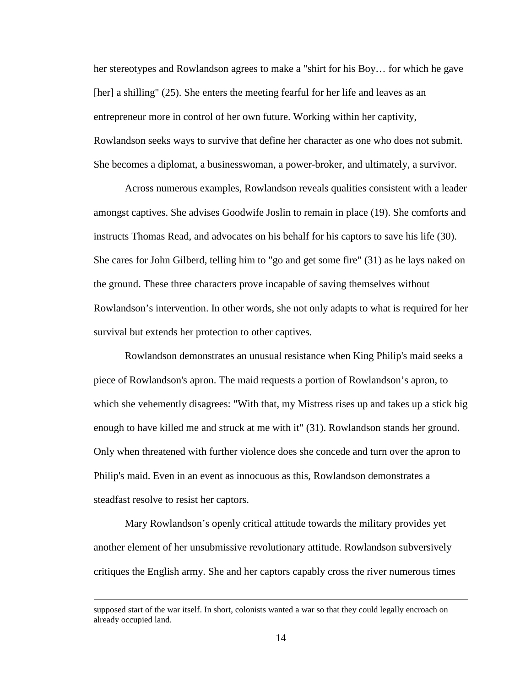her stereotypes and Rowlandson agrees to make a "shirt for his Boy… for which he gave [her] a shilling" (25). She enters the meeting fearful for her life and leaves as an entrepreneur more in control of her own future. Working within her captivity, Rowlandson seeks ways to survive that define her character as one who does not submit. She becomes a diplomat, a businesswoman, a power-broker, and ultimately, a survivor.

Across numerous examples, Rowlandson reveals qualities consistent with a leader amongst captives. She advises Goodwife Joslin to remain in place (19). She comforts and instructs Thomas Read, and advocates on his behalf for his captors to save his life (30). She cares for John Gilberd, telling him to "go and get some fire" (31) as he lays naked on the ground. These three characters prove incapable of saving themselves without Rowlandson's intervention. In other words, she not only adapts to what is required for her survival but extends her protection to other captives.

Rowlandson demonstrates an unusual resistance when King Philip's maid seeks a piece of Rowlandson's apron. The maid requests a portion of Rowlandson's apron, to which she vehemently disagrees: "With that, my Mistress rises up and takes up a stick big enough to have killed me and struck at me with it" (31). Rowlandson stands her ground. Only when threatened with further violence does she concede and turn over the apron to Philip's maid. Even in an event as innocuous as this, Rowlandson demonstrates a steadfast resolve to resist her captors.

Mary Rowlandson's openly critical attitude towards the military provides yet another element of her unsubmissive revolutionary attitude. Rowlandson subversively critiques the English army. She and her captors capably cross the river numerous times

supposed start of the war itself. In short, colonists wanted a war so that they could legally encroach on already occupied land.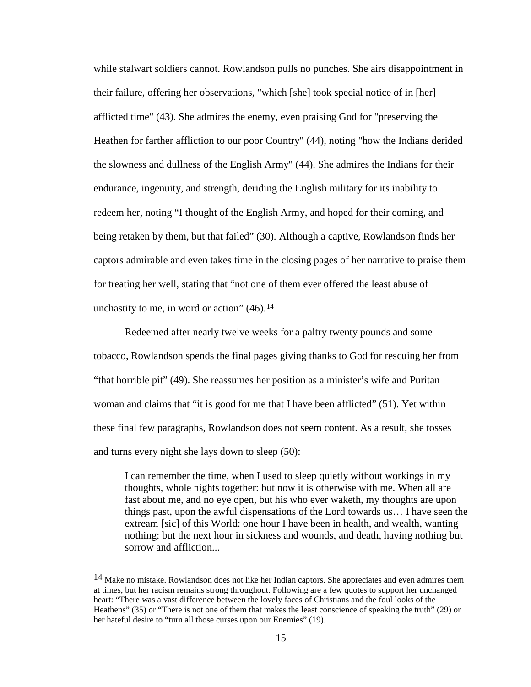while stalwart soldiers cannot. Rowlandson pulls no punches. She airs disappointment in their failure, offering her observations, "which [she] took special notice of in [her] afflicted time" (43). She admires the enemy, even praising God for "preserving the Heathen for farther affliction to our poor Country" (44), noting "how the Indians derided the slowness and dullness of the English Army" (44). She admires the Indians for their endurance, ingenuity, and strength, deriding the English military for its inability to redeem her, noting "I thought of the English Army, and hoped for their coming, and being retaken by them, but that failed" (30). Although a captive, Rowlandson finds her captors admirable and even takes time in the closing pages of her narrative to praise them for treating her well, stating that "not one of them ever offered the least abuse of unchastity to me, in word or action"  $(46)$ .<sup>[14](#page-22-0)</sup>

Redeemed after nearly twelve weeks for a paltry twenty pounds and some tobacco, Rowlandson spends the final pages giving thanks to God for rescuing her from "that horrible pit" (49). She reassumes her position as a minister's wife and Puritan woman and claims that "it is good for me that I have been afflicted" (51). Yet within these final few paragraphs, Rowlandson does not seem content. As a result, she tosses and turns every night she lays down to sleep (50):

I can remember the time, when I used to sleep quietly without workings in my thoughts, whole nights together: but now it is otherwise with me. When all are fast about me, and no eye open, but his who ever waketh, my thoughts are upon things past, upon the awful dispensations of the Lord towards us… I have seen the extream [sic] of this World: one hour I have been in health, and wealth, wanting nothing: but the next hour in sickness and wounds, and death, having nothing but sorrow and affliction...

<span id="page-22-0"></span><sup>14</sup> Make no mistake. Rowlandson does not like her Indian captors. She appreciates and even admires them at times, but her racism remains strong throughout. Following are a few quotes to support her unchanged heart: "There was a vast difference between the lovely faces of Christians and the foul looks of the Heathens" (35) or "There is not one of them that makes the least conscience of speaking the truth" (29) or her hateful desire to "turn all those curses upon our Enemies" (19).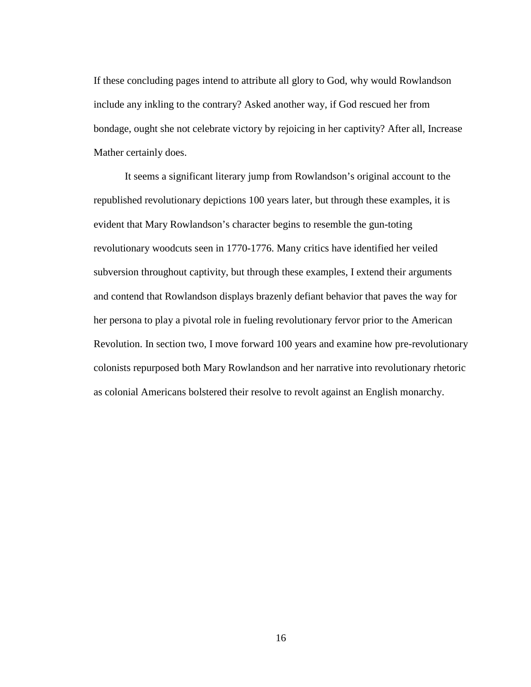If these concluding pages intend to attribute all glory to God, why would Rowlandson include any inkling to the contrary? Asked another way, if God rescued her from bondage, ought she not celebrate victory by rejoicing in her captivity? After all, Increase Mather certainly does.

It seems a significant literary jump from Rowlandson's original account to the republished revolutionary depictions 100 years later, but through these examples, it is evident that Mary Rowlandson's character begins to resemble the gun-toting revolutionary woodcuts seen in 1770-1776. Many critics have identified her veiled subversion throughout captivity, but through these examples, I extend their arguments and contend that Rowlandson displays brazenly defiant behavior that paves the way for her persona to play a pivotal role in fueling revolutionary fervor prior to the American Revolution. In section two, I move forward 100 years and examine how pre-revolutionary colonists repurposed both Mary Rowlandson and her narrative into revolutionary rhetoric as colonial Americans bolstered their resolve to revolt against an English monarchy.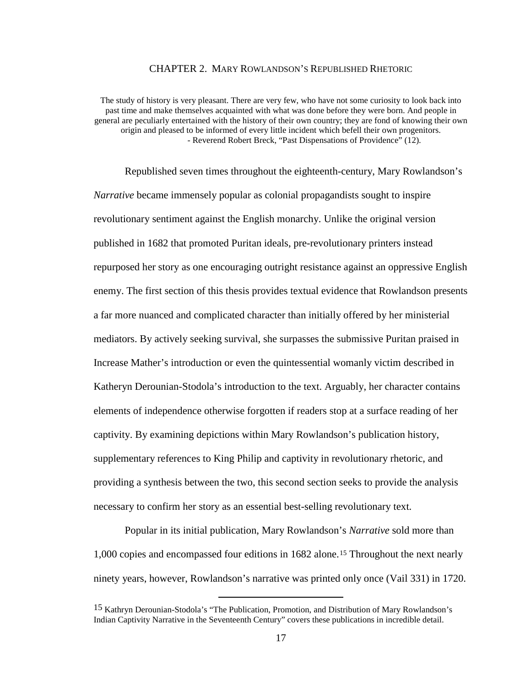#### CHAPTER 2. MARY ROWLANDSON'S REPUBLISHED RHETORIC

<span id="page-24-0"></span>The study of history is very pleasant. There are very few, who have not some curiosity to look back into past time and make themselves acquainted with what was done before they were born. And people in general are peculiarly entertained with the history of their own country; they are fond of knowing their own origin and pleased to be informed of every little incident which befell their own progenitors. - Reverend Robert Breck, "Past Dispensations of Providence" (12).

Republished seven times throughout the eighteenth-century, Mary Rowlandson's *Narrative* became immensely popular as colonial propagandists sought to inspire revolutionary sentiment against the English monarchy. Unlike the original version published in 1682 that promoted Puritan ideals, pre-revolutionary printers instead repurposed her story as one encouraging outright resistance against an oppressive English enemy. The first section of this thesis provides textual evidence that Rowlandson presents a far more nuanced and complicated character than initially offered by her ministerial mediators. By actively seeking survival, she surpasses the submissive Puritan praised in Increase Mather's introduction or even the quintessential womanly victim described in Katheryn Derounian-Stodola's introduction to the text. Arguably, her character contains elements of independence otherwise forgotten if readers stop at a surface reading of her captivity. By examining depictions within Mary Rowlandson's publication history, supplementary references to King Philip and captivity in revolutionary rhetoric, and providing a synthesis between the two, this second section seeks to provide the analysis necessary to confirm her story as an essential best-selling revolutionary text.

Popular in its initial publication, Mary Rowlandson's *Narrative* sold more than 1,000 copies and encompassed four editions in 1682 alone.[15](#page-24-1) Throughout the next nearly ninety years, however, Rowlandson's narrative was printed only once (Vail 331) in 1720.

<span id="page-24-1"></span><sup>15</sup> Kathryn Derounian-Stodola's "The Publication, Promotion, and Distribution of Mary Rowlandson's Indian Captivity Narrative in the Seventeenth Century" covers these publications in incredible detail.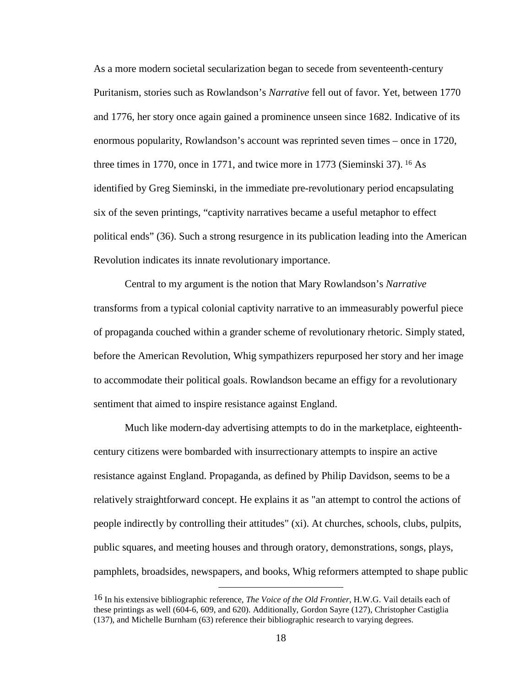As a more modern societal secularization began to secede from seventeenth-century Puritanism, stories such as Rowlandson's *Narrative* fell out of favor. Yet, between 1770 and 1776, her story once again gained a prominence unseen since 1682. Indicative of its enormous popularity, Rowlandson's account was reprinted seven times – once in 1720, three times in 1770, once in 1771, and twice more in 1773 (Sieminski 37). [16](#page-25-0) As identified by Greg Sieminski, in the immediate pre-revolutionary period encapsulating six of the seven printings, "captivity narratives became a useful metaphor to effect political ends" (36). Such a strong resurgence in its publication leading into the American Revolution indicates its innate revolutionary importance.

Central to my argument is the notion that Mary Rowlandson's *Narrative* transforms from a typical colonial captivity narrative to an immeasurably powerful piece of propaganda couched within a grander scheme of revolutionary rhetoric. Simply stated, before the American Revolution, Whig sympathizers repurposed her story and her image to accommodate their political goals. Rowlandson became an effigy for a revolutionary sentiment that aimed to inspire resistance against England.

Much like modern-day advertising attempts to do in the marketplace, eighteenthcentury citizens were bombarded with insurrectionary attempts to inspire an active resistance against England. Propaganda, as defined by Philip Davidson, seems to be a relatively straightforward concept. He explains it as "an attempt to control the actions of people indirectly by controlling their attitudes" (xi). At churches, schools, clubs, pulpits, public squares, and meeting houses and through oratory, demonstrations, songs, plays, pamphlets, broadsides, newspapers, and books, Whig reformers attempted to shape public

<span id="page-25-0"></span> <sup>16</sup> In his extensive bibliographic reference, *The Voice of the Old Frontier*, H.W.G. Vail details each of these printings as well (604-6, 609, and 620). Additionally, Gordon Sayre (127), Christopher Castiglia (137), and Michelle Burnham (63) reference their bibliographic research to varying degrees.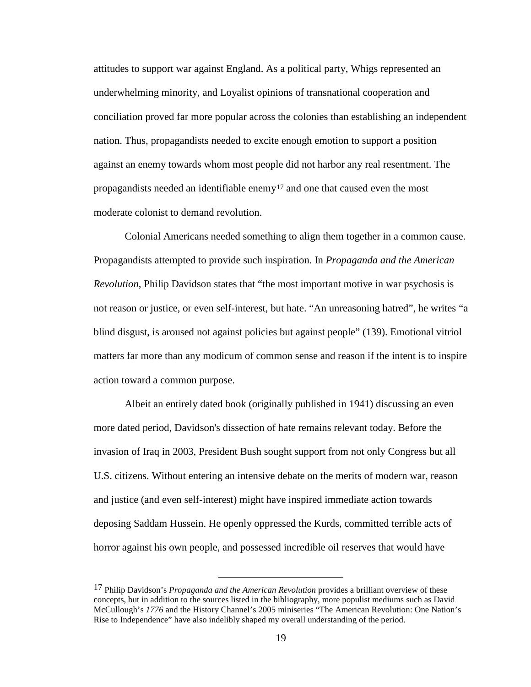attitudes to support war against England. As a political party, Whigs represented an underwhelming minority, and Loyalist opinions of transnational cooperation and conciliation proved far more popular across the colonies than establishing an independent nation. Thus, propagandists needed to excite enough emotion to support a position against an enemy towards whom most people did not harbor any real resentment. The propagandists needed an identifiable enemy<sup>[17](#page-26-0)</sup> and one that caused even the most moderate colonist to demand revolution.

Colonial Americans needed something to align them together in a common cause. Propagandists attempted to provide such inspiration. In *Propaganda and the American Revolution*, Philip Davidson states that "the most important motive in war psychosis is not reason or justice, or even self-interest, but hate. "An unreasoning hatred", he writes "a blind disgust, is aroused not against policies but against people" (139). Emotional vitriol matters far more than any modicum of common sense and reason if the intent is to inspire action toward a common purpose.

Albeit an entirely dated book (originally published in 1941) discussing an even more dated period, Davidson's dissection of hate remains relevant today. Before the invasion of Iraq in 2003, President Bush sought support from not only Congress but all U.S. citizens. Without entering an intensive debate on the merits of modern war, reason and justice (and even self-interest) might have inspired immediate action towards deposing Saddam Hussein. He openly oppressed the Kurds, committed terrible acts of horror against his own people, and possessed incredible oil reserves that would have

<span id="page-26-0"></span> <sup>17</sup> Philip Davidson's *Propaganda and the American Revolution* provides a brilliant overview of these concepts, but in addition to the sources listed in the bibliography, more populist mediums such as David McCullough's *1776* and the History Channel's 2005 miniseries "The American Revolution: One Nation's Rise to Independence" have also indelibly shaped my overall understanding of the period.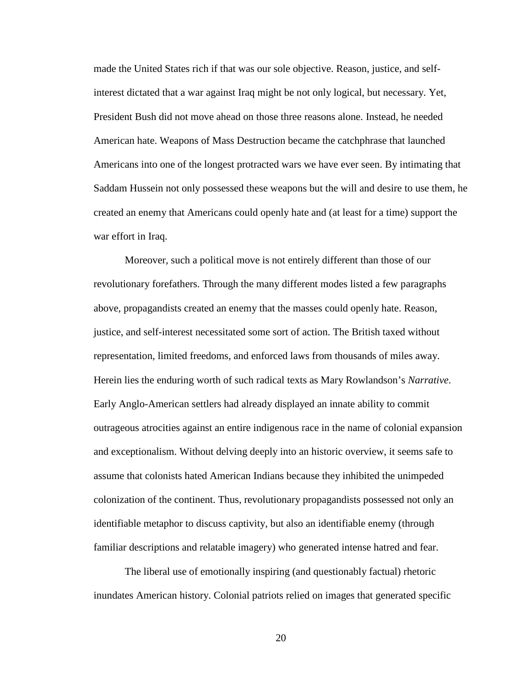made the United States rich if that was our sole objective. Reason, justice, and selfinterest dictated that a war against Iraq might be not only logical, but necessary. Yet, President Bush did not move ahead on those three reasons alone. Instead, he needed American hate. Weapons of Mass Destruction became the catchphrase that launched Americans into one of the longest protracted wars we have ever seen. By intimating that Saddam Hussein not only possessed these weapons but the will and desire to use them, he created an enemy that Americans could openly hate and (at least for a time) support the war effort in Iraq.

Moreover, such a political move is not entirely different than those of our revolutionary forefathers. Through the many different modes listed a few paragraphs above, propagandists created an enemy that the masses could openly hate. Reason, justice, and self-interest necessitated some sort of action. The British taxed without representation, limited freedoms, and enforced laws from thousands of miles away. Herein lies the enduring worth of such radical texts as Mary Rowlandson's *Narrative*. Early Anglo-American settlers had already displayed an innate ability to commit outrageous atrocities against an entire indigenous race in the name of colonial expansion and exceptionalism. Without delving deeply into an historic overview, it seems safe to assume that colonists hated American Indians because they inhibited the unimpeded colonization of the continent. Thus, revolutionary propagandists possessed not only an identifiable metaphor to discuss captivity, but also an identifiable enemy (through familiar descriptions and relatable imagery) who generated intense hatred and fear.

The liberal use of emotionally inspiring (and questionably factual) rhetoric inundates American history. Colonial patriots relied on images that generated specific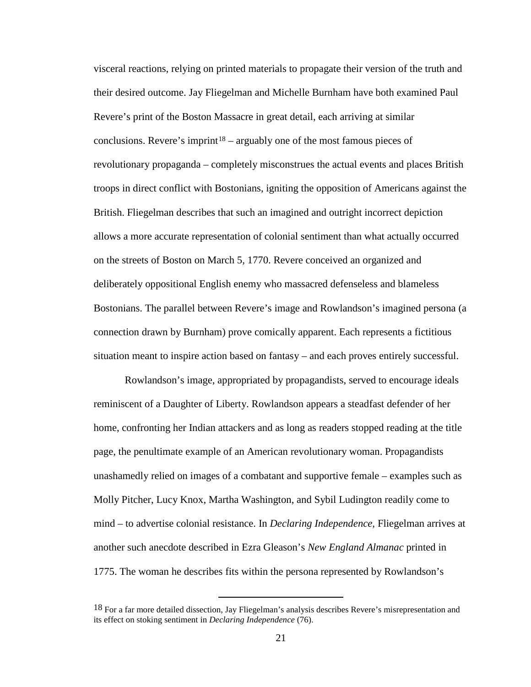visceral reactions, relying on printed materials to propagate their version of the truth and their desired outcome. Jay Fliegelman and Michelle Burnham have both examined Paul Revere's print of the Boston Massacre in great detail, each arriving at similar conclusions. Revere's imprint<sup>[18](#page-28-0)</sup> – arguably one of the most famous pieces of revolutionary propaganda – completely misconstrues the actual events and places British troops in direct conflict with Bostonians, igniting the opposition of Americans against the British. Fliegelman describes that such an imagined and outright incorrect depiction allows a more accurate representation of colonial sentiment than what actually occurred on the streets of Boston on March 5, 1770. Revere conceived an organized and deliberately oppositional English enemy who massacred defenseless and blameless Bostonians. The parallel between Revere's image and Rowlandson's imagined persona (a connection drawn by Burnham) prove comically apparent. Each represents a fictitious situation meant to inspire action based on fantasy – and each proves entirely successful.

Rowlandson's image, appropriated by propagandists, served to encourage ideals reminiscent of a Daughter of Liberty. Rowlandson appears a steadfast defender of her home, confronting her Indian attackers and as long as readers stopped reading at the title page, the penultimate example of an American revolutionary woman. Propagandists unashamedly relied on images of a combatant and supportive female – examples such as Molly Pitcher, Lucy Knox, Martha Washington, and Sybil Ludington readily come to mind – to advertise colonial resistance. In *Declaring Independence*, Fliegelman arrives at another such anecdote described in Ezra Gleason's *New England Almanac* printed in 1775. The woman he describes fits within the persona represented by Rowlandson's

<span id="page-28-0"></span><sup>18</sup> For a far more detailed dissection, Jay Fliegelman's analysis describes Revere's misrepresentation and its effect on stoking sentiment in *Declaring Independence* (76).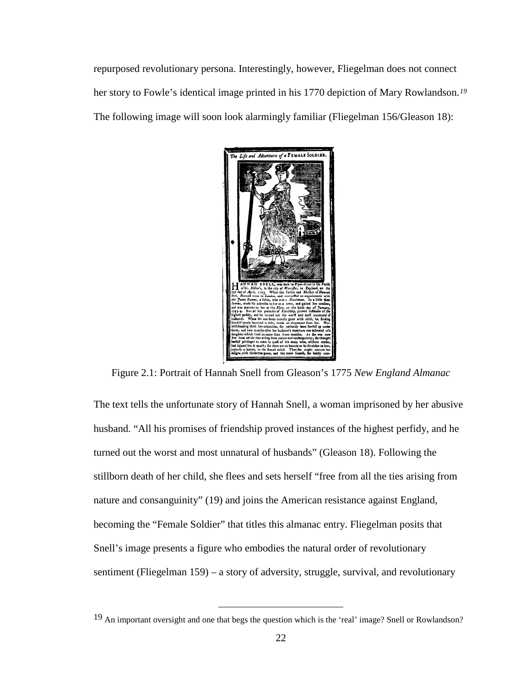repurposed revolutionary persona. Interestingly, however, Fliegelman does not connect her story to Fowle's identical image printed in his 1770 depiction of Mary Rowlandson.*[19](#page-29-1)* The following image will soon look alarmingly familiar (Fliegelman 156/Gleason 18):



Figure 2.1: Portrait of Hannah Snell from Gleason's 1775 *New England Almanac*

<span id="page-29-0"></span>The text tells the unfortunate story of Hannah Snell, a woman imprisoned by her abusive husband. "All his promises of friendship proved instances of the highest perfidy, and he turned out the worst and most unnatural of husbands" (Gleason 18). Following the stillborn death of her child, she flees and sets herself "free from all the ties arising from nature and consanguinity" (19) and joins the American resistance against England, becoming the "Female Soldier" that titles this almanac entry. Fliegelman posits that Snell's image presents a figure who embodies the natural order of revolutionary sentiment (Fliegelman 159) – a story of adversity, struggle, survival, and revolutionary

<span id="page-29-1"></span> <sup>19</sup> An important oversight and one that begs the question which is the 'real' image? Snell or Rowlandson?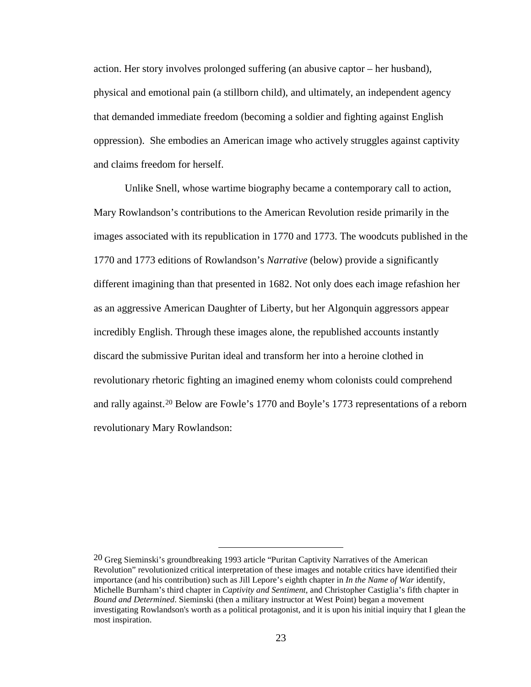action. Her story involves prolonged suffering (an abusive captor – her husband), physical and emotional pain (a stillborn child), and ultimately, an independent agency that demanded immediate freedom (becoming a soldier and fighting against English oppression). She embodies an American image who actively struggles against captivity and claims freedom for herself.

Unlike Snell, whose wartime biography became a contemporary call to action, Mary Rowlandson's contributions to the American Revolution reside primarily in the images associated with its republication in 1770 and 1773. The woodcuts published in the 1770 and 1773 editions of Rowlandson's *Narrative* (below) provide a significantly different imagining than that presented in 1682. Not only does each image refashion her as an aggressive American Daughter of Liberty, but her Algonquin aggressors appear incredibly English. Through these images alone, the republished accounts instantly discard the submissive Puritan ideal and transform her into a heroine clothed in revolutionary rhetoric fighting an imagined enemy whom colonists could comprehend and rally against.[20](#page-30-0) Below are Fowle's 1770 and Boyle's 1773 representations of a reborn revolutionary Mary Rowlandson:

<span id="page-30-0"></span><sup>&</sup>lt;sup>20</sup> Greg Sieminski's groundbreaking 1993 article "Puritan Captivity Narratives of the American Revolution" revolutionized critical interpretation of these images and notable critics have identified their importance (and his contribution) such as Jill Lepore's eighth chapter in *In the Name of War* identify, Michelle Burnham's third chapter in *Captivity and Sentiment*, and Christopher Castiglia's fifth chapter in *Bound and Determined*. Sieminski (then a military instructor at West Point) began a movement investigating Rowlandson's worth as a political protagonist, and it is upon his initial inquiry that I glean the most inspiration.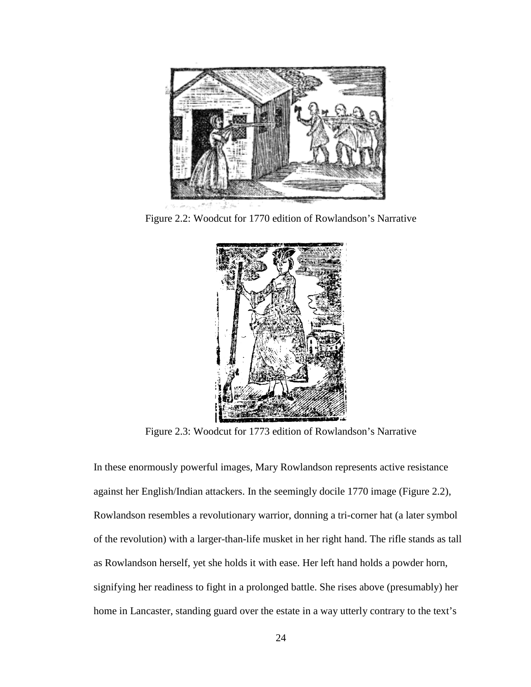

Figure 2.2: Woodcut for 1770 edition of Rowlandson's Narrative

<span id="page-31-0"></span>

Figure 2.3: Woodcut for 1773 edition of Rowlandson's Narrative

<span id="page-31-1"></span>In these enormously powerful images, Mary Rowlandson represents active resistance against her English/Indian attackers. In the seemingly docile 1770 image (Figure 2.2), Rowlandson resembles a revolutionary warrior, donning a tri-corner hat (a later symbol of the revolution) with a larger-than-life musket in her right hand. The rifle stands as tall as Rowlandson herself, yet she holds it with ease. Her left hand holds a powder horn, signifying her readiness to fight in a prolonged battle. She rises above (presumably) her home in Lancaster, standing guard over the estate in a way utterly contrary to the text's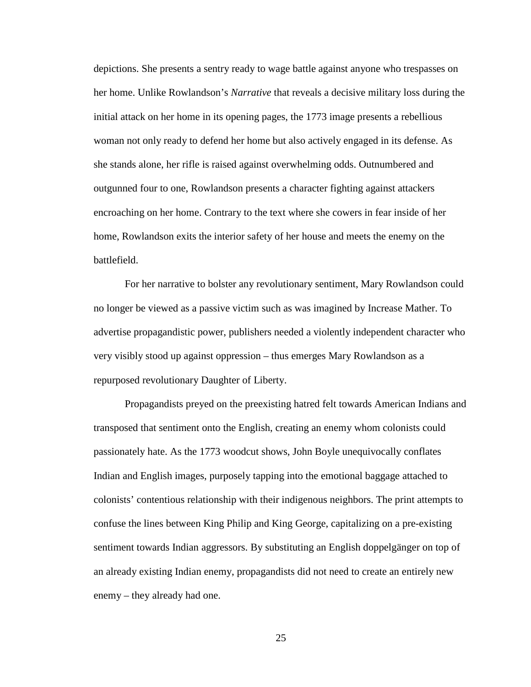depictions. She presents a sentry ready to wage battle against anyone who trespasses on her home. Unlike Rowlandson's *Narrative* that reveals a decisive military loss during the initial attack on her home in its opening pages, the 1773 image presents a rebellious woman not only ready to defend her home but also actively engaged in its defense. As she stands alone, her rifle is raised against overwhelming odds. Outnumbered and outgunned four to one, Rowlandson presents a character fighting against attackers encroaching on her home. Contrary to the text where she cowers in fear inside of her home, Rowlandson exits the interior safety of her house and meets the enemy on the battlefield.

For her narrative to bolster any revolutionary sentiment, Mary Rowlandson could no longer be viewed as a passive victim such as was imagined by Increase Mather. To advertise propagandistic power, publishers needed a violently independent character who very visibly stood up against oppression – thus emerges Mary Rowlandson as a repurposed revolutionary Daughter of Liberty.

Propagandists preyed on the preexisting hatred felt towards American Indians and transposed that sentiment onto the English, creating an enemy whom colonists could passionately hate. As the 1773 woodcut shows, John Boyle unequivocally conflates Indian and English images, purposely tapping into the emotional baggage attached to colonists' contentious relationship with their indigenous neighbors. The print attempts to confuse the lines between King Philip and King George, capitalizing on a pre-existing sentiment towards Indian aggressors. By substituting an English doppelgänger on top of an already existing Indian enemy, propagandists did not need to create an entirely new enemy – they already had one.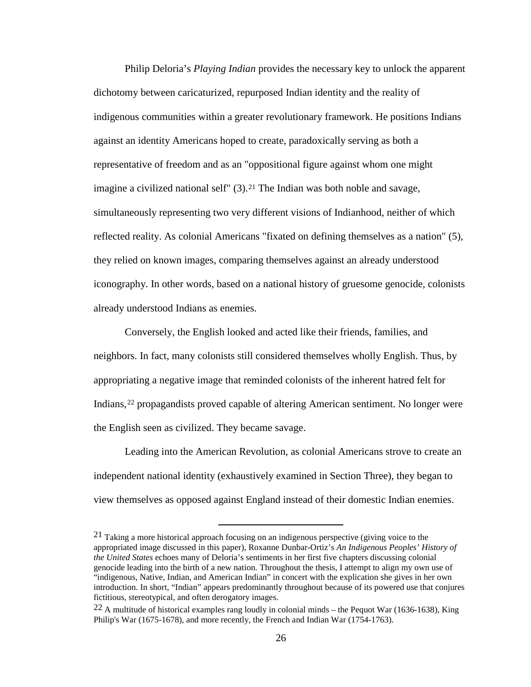Philip Deloria's *Playing Indian* provides the necessary key to unlock the apparent dichotomy between caricaturized, repurposed Indian identity and the reality of indigenous communities within a greater revolutionary framework. He positions Indians against an identity Americans hoped to create, paradoxically serving as both a representative of freedom and as an "oppositional figure against whom one might imagine a civilized national self"  $(3)$ .<sup>[21](#page-33-0)</sup> The Indian was both noble and savage, simultaneously representing two very different visions of Indianhood, neither of which reflected reality. As colonial Americans "fixated on defining themselves as a nation" (5), they relied on known images, comparing themselves against an already understood iconography. In other words, based on a national history of gruesome genocide, colonists already understood Indians as enemies.

Conversely, the English looked and acted like their friends, families, and neighbors. In fact, many colonists still considered themselves wholly English. Thus, by appropriating a negative image that reminded colonists of the inherent hatred felt for Indians,[22](#page-33-1) propagandists proved capable of altering American sentiment. No longer were the English seen as civilized. They became savage.

Leading into the American Revolution, as colonial Americans strove to create an independent national identity (exhaustively examined in Section Three), they began to view themselves as opposed against England instead of their domestic Indian enemies.

<span id="page-33-0"></span> $21$  Taking a more historical approach focusing on an indigenous perspective (giving voice to the appropriated image discussed in this paper), Roxanne Dunbar-Ortiz's *An Indigenous Peoples' History of the United States* echoes many of Deloria's sentiments in her first five chapters discussing colonial genocide leading into the birth of a new nation. Throughout the thesis, I attempt to align my own use of "indigenous, Native, Indian, and American Indian" in concert with the explication she gives in her own introduction. In short, "Indian" appears predominantly throughout because of its powered use that conjures fictitious, stereotypical, and often derogatory images.

<span id="page-33-1"></span> $22$  A multitude of historical examples rang loudly in colonial minds – the Pequot War (1636-1638), King Philip's War (1675-1678), and more recently, the French and Indian War (1754-1763).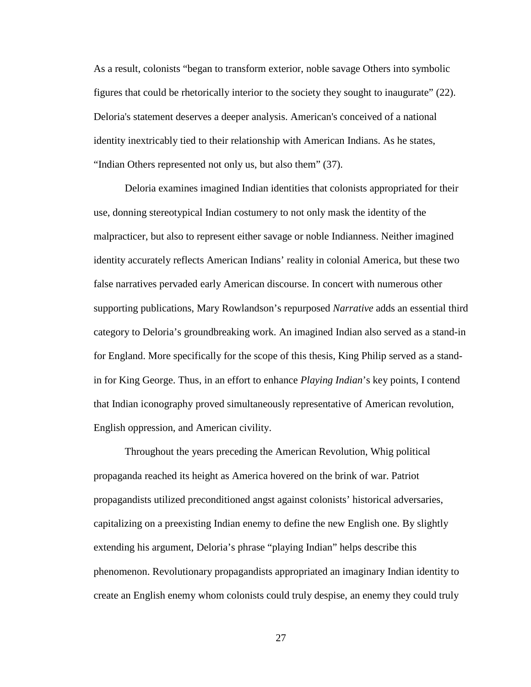As a result, colonists "began to transform exterior, noble savage Others into symbolic figures that could be rhetorically interior to the society they sought to inaugurate" (22). Deloria's statement deserves a deeper analysis. American's conceived of a national identity inextricably tied to their relationship with American Indians. As he states, "Indian Others represented not only us, but also them" (37).

Deloria examines imagined Indian identities that colonists appropriated for their use, donning stereotypical Indian costumery to not only mask the identity of the malpracticer, but also to represent either savage or noble Indianness. Neither imagined identity accurately reflects American Indians' reality in colonial America, but these two false narratives pervaded early American discourse. In concert with numerous other supporting publications, Mary Rowlandson's repurposed *Narrative* adds an essential third category to Deloria's groundbreaking work. An imagined Indian also served as a stand-in for England. More specifically for the scope of this thesis, King Philip served as a standin for King George. Thus, in an effort to enhance *Playing Indian*'s key points, I contend that Indian iconography proved simultaneously representative of American revolution, English oppression, and American civility.

Throughout the years preceding the American Revolution, Whig political propaganda reached its height as America hovered on the brink of war. Patriot propagandists utilized preconditioned angst against colonists' historical adversaries, capitalizing on a preexisting Indian enemy to define the new English one. By slightly extending his argument, Deloria's phrase "playing Indian" helps describe this phenomenon. Revolutionary propagandists appropriated an imaginary Indian identity to create an English enemy whom colonists could truly despise, an enemy they could truly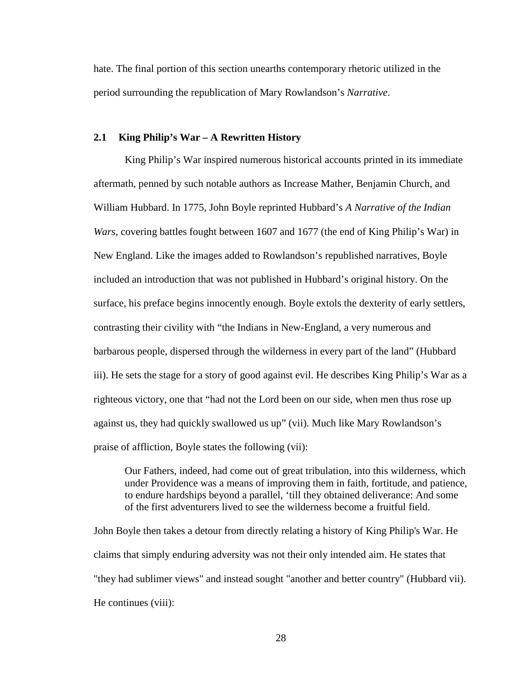hate. The final portion of this section unearths contemporary rhetoric utilized in the period surrounding the republication of Mary Rowlandson's *Narrative*.

#### <span id="page-35-0"></span>**2.1 King Philip's War – A Rewritten History**

King Philip's War inspired numerous historical accounts printed in its immediate aftermath, penned by such notable authors as Increase Mather, Benjamin Church, and William Hubbard. In 1775, John Boyle reprinted Hubbard's *A Narrative of the Indian Wars*, covering battles fought between 1607 and 1677 (the end of King Philip's War) in New England. Like the images added to Rowlandson's republished narratives, Boyle included an introduction that was not published in Hubbard's original history. On the surface, his preface begins innocently enough. Boyle extols the dexterity of early settlers, contrasting their civility with "the Indians in New-England, a very numerous and barbarous people, dispersed through the wilderness in every part of the land" (Hubbard iii). He sets the stage for a story of good against evil. He describes King Philip's War as a righteous victory, one that "had not the Lord been on our side, when men thus rose up against us, they had quickly swallowed us up" (vii). Much like Mary Rowlandson's praise of affliction, Boyle states the following (vii):

Our Fathers, indeed, had come out of great tribulation, into this wilderness, which under Providence was a means of improving them in faith, fortitude, and patience, to endure hardships beyond a parallel, 'till they obtained deliverance: And some of the first adventurers lived to see the wilderness become a fruitful field.

John Boyle then takes a detour from directly relating a history of King Philip's War. He claims that simply enduring adversity was not their only intended aim. He states that "they had sublimer views" and instead sought "another and better country" (Hubbard vii). He continues (viii):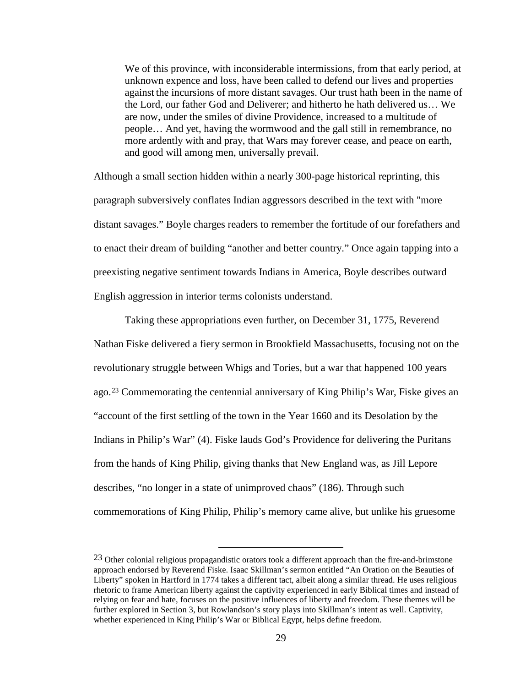We of this province, with inconsiderable intermissions, from that early period, at unknown expence and loss, have been called to defend our lives and properties against the incursions of more distant savages. Our trust hath been in the name of the Lord, our father God and Deliverer; and hitherto he hath delivered us… We are now, under the smiles of divine Providence, increased to a multitude of people… And yet, having the wormwood and the gall still in remembrance, no more ardently with and pray, that Wars may forever cease, and peace on earth, and good will among men, universally prevail.

Although a small section hidden within a nearly 300-page historical reprinting, this paragraph subversively conflates Indian aggressors described in the text with "more distant savages." Boyle charges readers to remember the fortitude of our forefathers and to enact their dream of building "another and better country." Once again tapping into a preexisting negative sentiment towards Indians in America, Boyle describes outward English aggression in interior terms colonists understand.

Taking these appropriations even further, on December 31, 1775, Reverend Nathan Fiske delivered a fiery sermon in Brookfield Massachusetts, focusing not on the revolutionary struggle between Whigs and Tories, but a war that happened 100 years ago.[23](#page-36-0) Commemorating the centennial anniversary of King Philip's War, Fiske gives an "account of the first settling of the town in the Year 1660 and its Desolation by the Indians in Philip's War" (4). Fiske lauds God's Providence for delivering the Puritans from the hands of King Philip, giving thanks that New England was, as Jill Lepore describes, "no longer in a state of unimproved chaos" (186). Through such commemorations of King Philip, Philip's memory came alive, but unlike his gruesome

<span id="page-36-0"></span><sup>&</sup>lt;sup>23</sup> Other colonial religious propagandistic orators took a different approach than the fire-and-brimstone approach endorsed by Reverend Fiske. Isaac Skillman's sermon entitled "An Oration on the Beauties of Liberty" spoken in Hartford in 1774 takes a different tact, albeit along a similar thread. He uses religious rhetoric to frame American liberty against the captivity experienced in early Biblical times and instead of relying on fear and hate, focuses on the positive influences of liberty and freedom. These themes will be further explored in Section 3, but Rowlandson's story plays into Skillman's intent as well. Captivity, whether experienced in King Philip's War or Biblical Egypt, helps define freedom.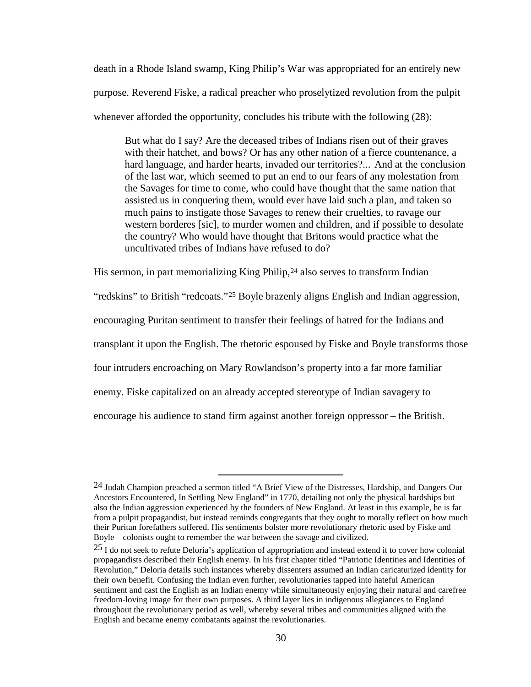death in a Rhode Island swamp, King Philip's War was appropriated for an entirely new purpose. Reverend Fiske, a radical preacher who proselytized revolution from the pulpit whenever afforded the opportunity, concludes his tribute with the following  $(28)$ :

But what do I say? Are the deceased tribes of Indians risen out of their graves with their hatchet, and bows? Or has any other nation of a fierce countenance, a hard language, and harder hearts, invaded our territories?... And at the conclusion of the last war, which seemed to put an end to our fears of any molestation from the Savages for time to come, who could have thought that the same nation that assisted us in conquering them, would ever have laid such a plan, and taken so much pains to instigate those Savages to renew their cruelties, to ravage our western borderes [sic], to murder women and children, and if possible to desolate the country? Who would have thought that Britons would practice what the uncultivated tribes of Indians have refused to do?

His sermon, in part memorializing King Philip, $24$  also serves to transform Indian

"redskins" to British "redcoats."[25](#page-37-1) Boyle brazenly aligns English and Indian aggression,

encouraging Puritan sentiment to transfer their feelings of hatred for the Indians and

transplant it upon the English. The rhetoric espoused by Fiske and Boyle transforms those

four intruders encroaching on Mary Rowlandson's property into a far more familiar

enemy. Fiske capitalized on an already accepted stereotype of Indian savagery to

 $\overline{a}$ 

encourage his audience to stand firm against another foreign oppressor – the British.

<span id="page-37-0"></span><sup>&</sup>lt;sup>24</sup> Judah Champion preached a sermon titled "A Brief View of the Distresses, Hardship, and Dangers Our Ancestors Encountered, In Settling New England" in 1770, detailing not only the physical hardships but also the Indian aggression experienced by the founders of New England. At least in this example, he is far from a pulpit propagandist, but instead reminds congregants that they ought to morally reflect on how much their Puritan forefathers suffered. His sentiments bolster more revolutionary rhetoric used by Fiske and Boyle – colonists ought to remember the war between the savage and civilized.

<span id="page-37-1"></span> $25$  I do not seek to refute Deloria's application of appropriation and instead extend it to cover how colonial propagandists described their English enemy. In his first chapter titled "Patriotic Identities and Identities of Revolution," Deloria details such instances whereby dissenters assumed an Indian caricaturized identity for their own benefit. Confusing the Indian even further, revolutionaries tapped into hateful American sentiment and cast the English as an Indian enemy while simultaneously enjoying their natural and carefree freedom-loving image for their own purposes. A third layer lies in indigenous allegiances to England throughout the revolutionary period as well, whereby several tribes and communities aligned with the English and became enemy combatants against the revolutionaries.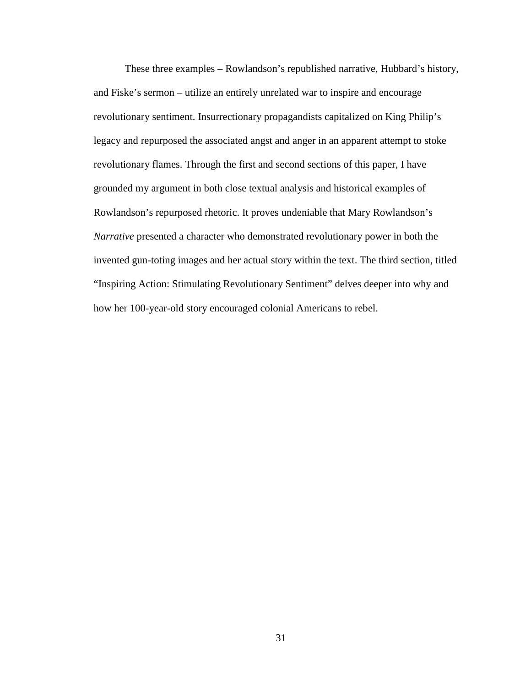These three examples – Rowlandson's republished narrative, Hubbard's history, and Fiske's sermon – utilize an entirely unrelated war to inspire and encourage revolutionary sentiment. Insurrectionary propagandists capitalized on King Philip's legacy and repurposed the associated angst and anger in an apparent attempt to stoke revolutionary flames. Through the first and second sections of this paper, I have grounded my argument in both close textual analysis and historical examples of Rowlandson's repurposed rhetoric. It proves undeniable that Mary Rowlandson's *Narrative* presented a character who demonstrated revolutionary power in both the invented gun-toting images and her actual story within the text. The third section, titled "Inspiring Action: Stimulating Revolutionary Sentiment" delves deeper into why and how her 100-year-old story encouraged colonial Americans to rebel.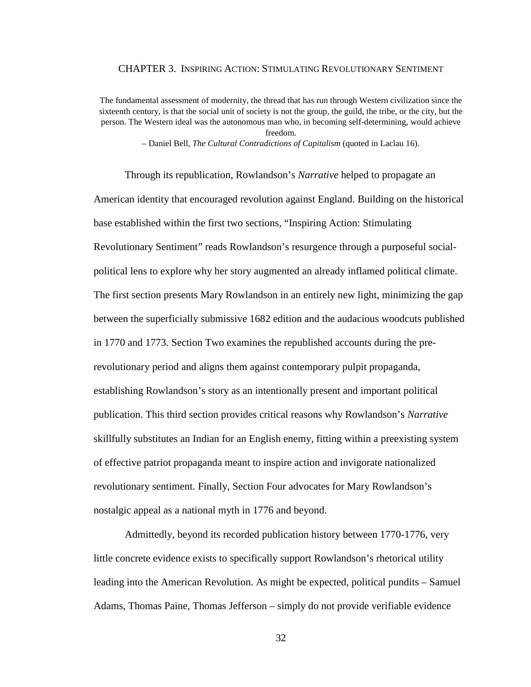#### CHAPTER 3. INSPIRING ACTION: STIMULATING REVOLUTIONARY SENTIMENT

The fundamental assessment of modernity, the thread that has run through Western civilization since the sixteenth century, is that the social unit of society is not the group, the guild, the tribe, or the city, but the person. The Western ideal was the autonomous man who, in becoming self-determining, would achieve freedom.

– Daniel Bell, *The Cultural Contradictions of Capitalism* (quoted in Laclau 16).

Through its republication, Rowlandson's *Narrative* helped to propagate an American identity that encouraged revolution against England. Building on the historical base established within the first two sections, "Inspiring Action: Stimulating Revolutionary Sentiment" reads Rowlandson's resurgence through a purposeful socialpolitical lens to explore why her story augmented an already inflamed political climate. The first section presents Mary Rowlandson in an entirely new light, minimizing the gap between the superficially submissive 1682 edition and the audacious woodcuts published in 1770 and 1773. Section Two examines the republished accounts during the prerevolutionary period and aligns them against contemporary pulpit propaganda, establishing Rowlandson's story as an intentionally present and important political publication. This third section provides critical reasons why Rowlandson's *Narrative* skillfully substitutes an Indian for an English enemy, fitting within a preexisting system of effective patriot propaganda meant to inspire action and invigorate nationalized revolutionary sentiment. Finally, Section Four advocates for Mary Rowlandson's nostalgic appeal as a national myth in 1776 and beyond.

Admittedly, beyond its recorded publication history between 1770-1776, very little concrete evidence exists to specifically support Rowlandson's rhetorical utility leading into the American Revolution. As might be expected, political pundits – Samuel Adams, Thomas Paine, Thomas Jefferson – simply do not provide verifiable evidence

32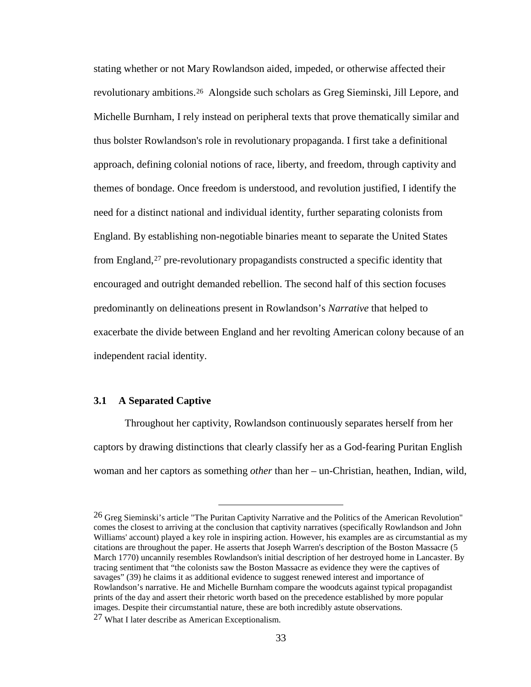stating whether or not Mary Rowlandson aided, impeded, or otherwise affected their revolutionary ambitions.[26](#page-40-0) Alongside such scholars as Greg Sieminski, Jill Lepore, and Michelle Burnham, I rely instead on peripheral texts that prove thematically similar and thus bolster Rowlandson's role in revolutionary propaganda. I first take a definitional approach, defining colonial notions of race, liberty, and freedom, through captivity and themes of bondage. Once freedom is understood, and revolution justified, I identify the need for a distinct national and individual identity, further separating colonists from England. By establishing non-negotiable binaries meant to separate the United States from England,<sup>[27](#page-40-1)</sup> pre-revolutionary propagandists constructed a specific identity that encouraged and outright demanded rebellion. The second half of this section focuses predominantly on delineations present in Rowlandson's *Narrative* that helped to exacerbate the divide between England and her revolting American colony because of an independent racial identity.

# **3.1 A Separated Captive**

Throughout her captivity, Rowlandson continuously separates herself from her captors by drawing distinctions that clearly classify her as a God-fearing Puritan English woman and her captors as something *other* than her – un-Christian, heathen, Indian, wild,

<span id="page-40-0"></span><sup>&</sup>lt;sup>26</sup> Greg Sieminski's article "The Puritan Captivity Narrative and the Politics of the American Revolution" comes the closest to arriving at the conclusion that captivity narratives (specifically Rowlandson and John Williams' account) played a key role in inspiring action. However, his examples are as circumstantial as my citations are throughout the paper. He asserts that Joseph Warren's description of the Boston Massacre (5 March 1770) uncannily resembles Rowlandson's initial description of her destroyed home in Lancaster. By tracing sentiment that "the colonists saw the Boston Massacre as evidence they were the captives of savages" (39) he claims it as additional evidence to suggest renewed interest and importance of Rowlandson's narrative. He and Michelle Burnham compare the woodcuts against typical propagandist prints of the day and assert their rhetoric worth based on the precedence established by more popular images. Despite their circumstantial nature, these are both incredibly astute observations.

<span id="page-40-1"></span><sup>27</sup> What I later describe as American Exceptionalism.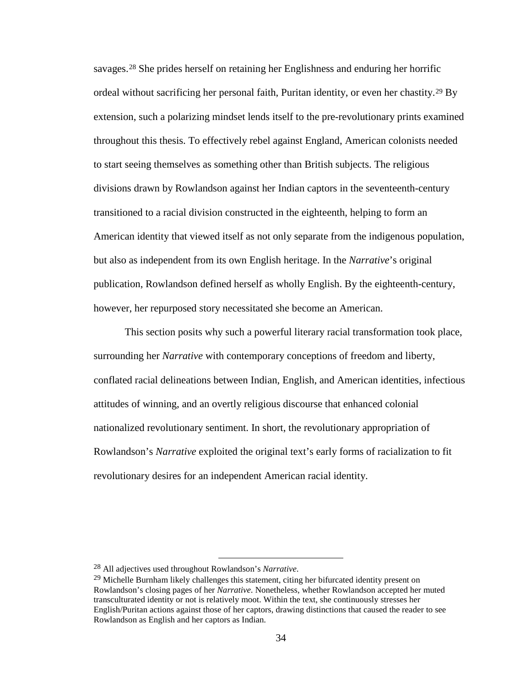savages.[28](#page-41-0) She prides herself on retaining her Englishness and enduring her horrific ordeal without sacrificing her personal faith, Puritan identity, or even her chastity.[29](#page-41-1) By extension, such a polarizing mindset lends itself to the pre-revolutionary prints examined throughout this thesis. To effectively rebel against England, American colonists needed to start seeing themselves as something other than British subjects. The religious divisions drawn by Rowlandson against her Indian captors in the seventeenth-century transitioned to a racial division constructed in the eighteenth, helping to form an American identity that viewed itself as not only separate from the indigenous population, but also as independent from its own English heritage. In the *Narrative*'s original publication, Rowlandson defined herself as wholly English. By the eighteenth-century, however, her repurposed story necessitated she become an American.

This section posits why such a powerful literary racial transformation took place, surrounding her *Narrative* with contemporary conceptions of freedom and liberty, conflated racial delineations between Indian, English, and American identities, infectious attitudes of winning, and an overtly religious discourse that enhanced colonial nationalized revolutionary sentiment. In short, the revolutionary appropriation of Rowlandson's *Narrative* exploited the original text's early forms of racialization to fit revolutionary desires for an independent American racial identity.

<span id="page-41-1"></span><span id="page-41-0"></span><sup>28</sup> All adjectives used throughout Rowlandson's *Narrative*. 29 Michelle Burnham likely challenges this statement, citing her bifurcated identity present on Rowlandson's closing pages of her *Narrative*. Nonetheless, whether Rowlandson accepted her muted transculturated identity or not is relatively moot. Within the text, she continuously stresses her English/Puritan actions against those of her captors, drawing distinctions that caused the reader to see Rowlandson as English and her captors as Indian.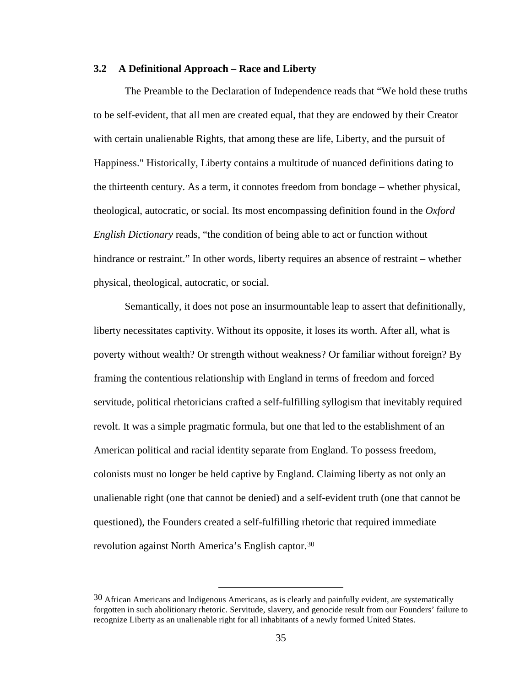# **3.2 A Definitional Approach – Race and Liberty**

The Preamble to the Declaration of Independence reads that "We hold these truths to be self-evident, that all men are created equal, that they are endowed by their Creator with certain unalienable Rights, that among these are life, Liberty, and the pursuit of Happiness." Historically, Liberty contains a multitude of nuanced definitions dating to the thirteenth century. As a term, it connotes freedom from bondage – whether physical, theological, autocratic, or social. Its most encompassing definition found in the *Oxford English Dictionary* reads, "the condition of being able to act or function without hindrance or restraint." In other words, liberty requires an absence of restraint – whether physical, theological, autocratic, or social.

Semantically, it does not pose an insurmountable leap to assert that definitionally, liberty necessitates captivity. Without its opposite, it loses its worth. After all, what is poverty without wealth? Or strength without weakness? Or familiar without foreign? By framing the contentious relationship with England in terms of freedom and forced servitude, political rhetoricians crafted a self-fulfilling syllogism that inevitably required revolt. It was a simple pragmatic formula, but one that led to the establishment of an American political and racial identity separate from England. To possess freedom, colonists must no longer be held captive by England. Claiming liberty as not only an unalienable right (one that cannot be denied) and a self-evident truth (one that cannot be questioned), the Founders created a self-fulfilling rhetoric that required immediate revolution against North America's English captor.[30](#page-42-0)

<span id="page-42-0"></span> $30$  African Americans and Indigenous Americans, as is clearly and painfully evident, are systematically forgotten in such abolitionary rhetoric. Servitude, slavery, and genocide result from our Founders' failure to recognize Liberty as an unalienable right for all inhabitants of a newly formed United States.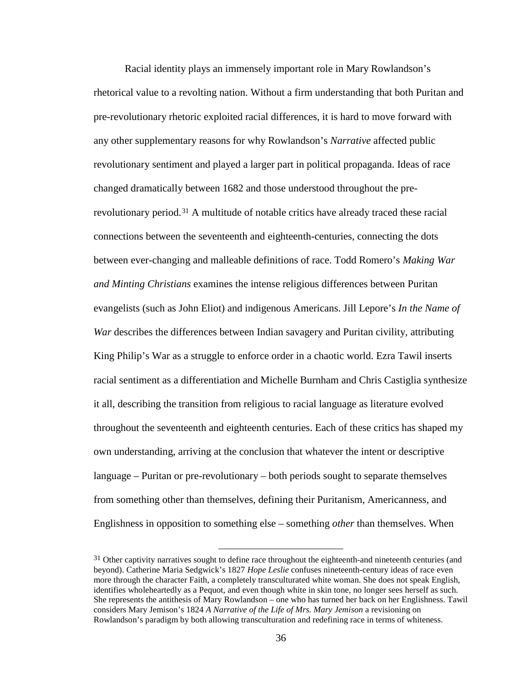Racial identity plays an immensely important role in Mary Rowlandson's rhetorical value to a revolting nation. Without a firm understanding that both Puritan and pre-revolutionary rhetoric exploited racial differences, it is hard to move forward with any other supplementary reasons for why Rowlandson's *Narrative* affected public revolutionary sentiment and played a larger part in political propaganda. Ideas of race changed dramatically between 1682 and those understood throughout the prerevolutionary period.[31](#page-43-0) A multitude of notable critics have already traced these racial connections between the seventeenth and eighteenth-centuries, connecting the dots between ever-changing and malleable definitions of race. Todd Romero's *Making War and Minting Christians* examines the intense religious differences between Puritan evangelists (such as John Eliot) and indigenous Americans. Jill Lepore's *In the Name of War* describes the differences between Indian savagery and Puritan civility, attributing King Philip's War as a struggle to enforce order in a chaotic world. Ezra Tawil inserts racial sentiment as a differentiation and Michelle Burnham and Chris Castiglia synthesize it all, describing the transition from religious to racial language as literature evolved throughout the seventeenth and eighteenth centuries. Each of these critics has shaped my own understanding, arriving at the conclusion that whatever the intent or descriptive language – Puritan or pre-revolutionary – both periods sought to separate themselves from something other than themselves, defining their Puritanism, Americanness, and Englishness in opposition to something else – something *other* than themselves. When

<span id="page-43-0"></span><sup>&</sup>lt;sup>31</sup> Other captivity narratives sought to define race throughout the eighteenth-and nineteenth centuries (and beyond). Catherine Maria Sedgwick's 1827 *Hope Leslie* confuses nineteenth-century ideas of race even more through the character Faith, a completely transculturated white woman. She does not speak English, identifies wholeheartedly as a Pequot, and even though white in skin tone, no longer sees herself as such. She represents the antithesis of Mary Rowlandson – one who has turned her back on her Englishness. Tawil considers Mary Jemison's 1824 *A Narrative of the Life of Mrs. Mary Jemison* a revisioning on Rowlandson's paradigm by both allowing transculturation and redefining race in terms of whiteness.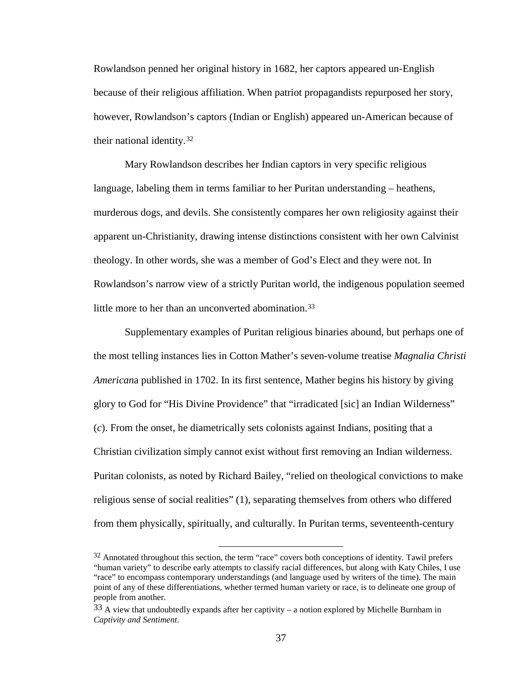Rowlandson penned her original history in 1682, her captors appeared un-English because of their religious affiliation. When patriot propagandists repurposed her story, however, Rowlandson's captors (Indian or English) appeared un-American because of their national identity.[32](#page-44-0) 

Mary Rowlandson describes her Indian captors in very specific religious language, labeling them in terms familiar to her Puritan understanding – heathens, murderous dogs, and devils. She consistently compares her own religiosity against their apparent un-Christianity, drawing intense distinctions consistent with her own Calvinist theology. In other words, she was a member of God's Elect and they were not. In Rowlandson's narrow view of a strictly Puritan world, the indigenous population seemed little more to her than an unconverted abomination.<sup>[33](#page-44-1)</sup>

Supplementary examples of Puritan religious binaries abound, but perhaps one of the most telling instances lies in Cotton Mather's seven-volume treatise *Magnalia Christi American*a published in 1702. In its first sentence, Mather begins his history by giving glory to God for "His Divine Providence" that "irradicated [sic] an Indian Wilderness" (*c*). From the onset, he diametrically sets colonists against Indians, positing that a Christian civilization simply cannot exist without first removing an Indian wilderness. Puritan colonists, as noted by Richard Bailey, "relied on theological convictions to make religious sense of social realities" (1), separating themselves from others who differed from them physically, spiritually, and culturally. In Puritan terms, seventeenth-century

<span id="page-44-0"></span> $32$  Annotated throughout this section, the term "race" covers both conceptions of identity. Tawil prefers "human variety" to describe early attempts to classify racial differences, but along with Katy Chiles, I use "race" to encompass contemporary understandings (and language used by writers of the time). The main point of any of these differentiations, whether termed human variety or race, is to delineate one group of people from another.

<span id="page-44-1"></span> $33$  A view that undoubtedly expands after her captivity – a notion explored by Michelle Burnham in *Captivity and Sentiment*.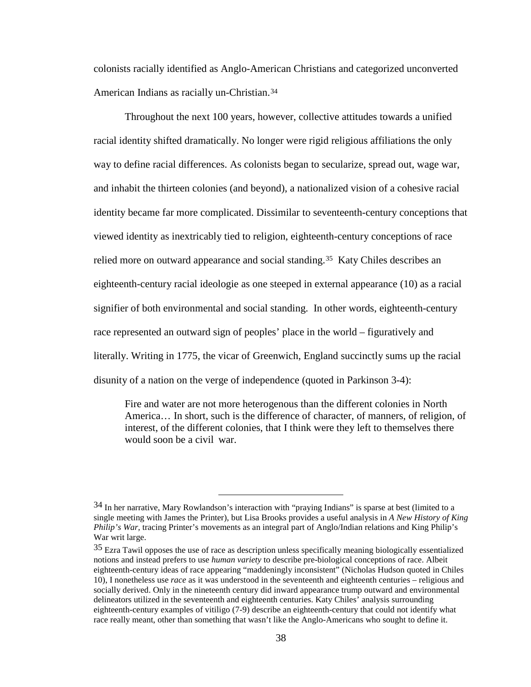colonists racially identified as Anglo-American Christians and categorized unconverted American Indians as racially un-Christian.[34](#page-45-0)

Throughout the next 100 years, however, collective attitudes towards a unified racial identity shifted dramatically. No longer were rigid religious affiliations the only way to define racial differences. As colonists began to secularize, spread out, wage war, and inhabit the thirteen colonies (and beyond), a nationalized vision of a cohesive racial identity became far more complicated. Dissimilar to seventeenth-century conceptions that viewed identity as inextricably tied to religion, eighteenth-century conceptions of race relied more on outward appearance and social standing.[35](#page-45-1) Katy Chiles describes an eighteenth-century racial ideologie as one steeped in external appearance (10) as a racial signifier of both environmental and social standing. In other words, eighteenth-century race represented an outward sign of peoples' place in the world – figuratively and literally. Writing in 1775, the vicar of Greenwich, England succinctly sums up the racial disunity of a nation on the verge of independence (quoted in Parkinson 3-4):

Fire and water are not more heterogenous than the different colonies in North America… In short, such is the difference of character, of manners, of religion, of interest, of the different colonies, that I think were they left to themselves there would soon be a civil war.

<span id="page-45-0"></span> $34$  In her narrative, Mary Rowlandson's interaction with "praying Indians" is sparse at best (limited to a single meeting with James the Printer), but Lisa Brooks provides a useful analysis in *A New History of King Philip's War,* tracing Printer's movements as an integral part of Anglo/Indian relations and King Philip's War writ large.

<span id="page-45-1"></span><sup>&</sup>lt;sup>35</sup> Ezra Tawil opposes the use of race as description unless specifically meaning biologically essentialized notions and instead prefers to use *human variety* to describe pre-biological conceptions of race. Albeit eighteenth-century ideas of race appearing "maddeningly inconsistent" (Nicholas Hudson quoted in Chiles 10), I nonetheless use *race* as it was understood in the seventeenth and eighteenth centuries – religious and socially derived. Only in the nineteenth century did inward appearance trump outward and environmental delineators utilized in the seventeenth and eighteenth centuries. Katy Chiles' analysis surrounding eighteenth-century examples of vitiligo (7-9) describe an eighteenth-century that could not identify what race really meant, other than something that wasn't like the Anglo-Americans who sought to define it.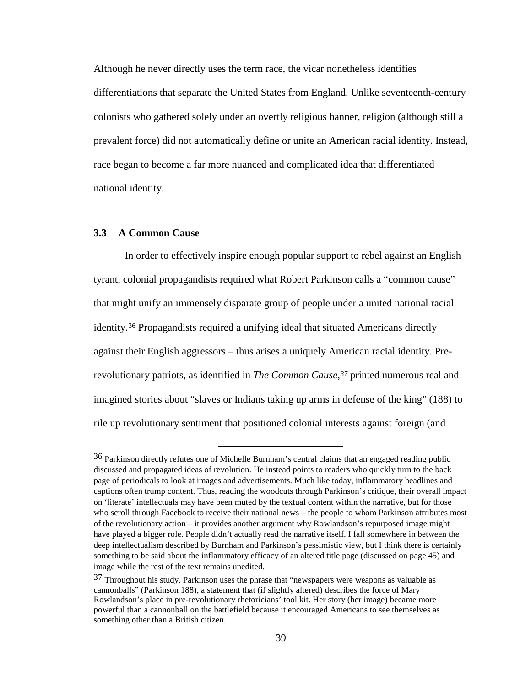Although he never directly uses the term race, the vicar nonetheless identifies differentiations that separate the United States from England. Unlike seventeenth-century colonists who gathered solely under an overtly religious banner, religion (although still a prevalent force) did not automatically define or unite an American racial identity. Instead, race began to become a far more nuanced and complicated idea that differentiated national identity.

# **3.3 A Common Cause**

In order to effectively inspire enough popular support to rebel against an English tyrant, colonial propagandists required what Robert Parkinson calls a "common cause" that might unify an immensely disparate group of people under a united national racial identity.[36](#page-46-0) Propagandists required a unifying ideal that situated Americans directly against their English aggressors – thus arises a uniquely American racial identity. Prerevolutionary patriots, as identified in *The Common Cause*,*[37](#page-46-1)* printed numerous real and imagined stories about "slaves or Indians taking up arms in defense of the king" (188) to rile up revolutionary sentiment that positioned colonial interests against foreign (and

<span id="page-46-0"></span><sup>&</sup>lt;sup>36</sup> Parkinson directly refutes one of Michelle Burnham's central claims that an engaged reading public discussed and propagated ideas of revolution. He instead points to readers who quickly turn to the back page of periodicals to look at images and advertisements. Much like today, inflammatory headlines and captions often trump content. Thus, reading the woodcuts through Parkinson's critique, their overall impact on 'literate' intellectuals may have been muted by the textual content within the narrative, but for those who scroll through Facebook to receive their national news – the people to whom Parkinson attributes most of the revolutionary action – it provides another argument why Rowlandson's repurposed image might have played a bigger role. People didn't actually read the narrative itself. I fall somewhere in between the deep intellectualism described by Burnham and Parkinson's pessimistic view, but I think there is certainly something to be said about the inflammatory efficacy of an altered title page (discussed on page 45) and image while the rest of the text remains unedited.

<span id="page-46-1"></span> $37$  Throughout his study, Parkinson uses the phrase that "newspapers were weapons as valuable as cannonballs" (Parkinson 188), a statement that (if slightly altered) describes the force of Mary Rowlandson's place in pre-revolutionary rhetoricians' tool kit. Her story (her image) became more powerful than a cannonball on the battlefield because it encouraged Americans to see themselves as something other than a British citizen.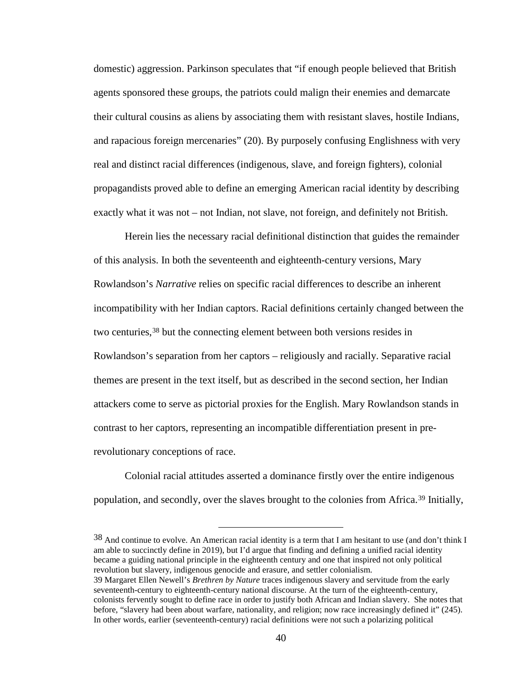domestic) aggression. Parkinson speculates that "if enough people believed that British agents sponsored these groups, the patriots could malign their enemies and demarcate their cultural cousins as aliens by associating them with resistant slaves, hostile Indians, and rapacious foreign mercenaries" (20). By purposely confusing Englishness with very real and distinct racial differences (indigenous, slave, and foreign fighters), colonial propagandists proved able to define an emerging American racial identity by describing exactly what it was not – not Indian, not slave, not foreign, and definitely not British.

Herein lies the necessary racial definitional distinction that guides the remainder of this analysis. In both the seventeenth and eighteenth-century versions, Mary Rowlandson's *Narrative* relies on specific racial differences to describe an inherent incompatibility with her Indian captors. Racial definitions certainly changed between the two centuries,[38](#page-47-0) but the connecting element between both versions resides in Rowlandson's separation from her captors – religiously and racially. Separative racial themes are present in the text itself, but as described in the second section, her Indian attackers come to serve as pictorial proxies for the English. Mary Rowlandson stands in contrast to her captors, representing an incompatible differentiation present in prerevolutionary conceptions of race.

Colonial racial attitudes asserted a dominance firstly over the entire indigenous population, and secondly, over the slaves brought to the colonies from Africa.[39](#page-47-1) Initially,

<span id="page-47-1"></span><span id="page-47-0"></span> $38$  And continue to evolve. An American racial identity is a term that I am hesitant to use (and don't think I am able to succinctly define in 2019), but I'd argue that finding and defining a unified racial identity became a guiding national principle in the eighteenth century and one that inspired not only political revolution but slavery, indigenous genocide and erasure, and settler colonialism. 39 Margaret Ellen Newell's *Brethren by Nature* traces indigenous slavery and servitude from the early seventeenth-century to eighteenth-century national discourse. At the turn of the eighteenth-century, colonists fervently sought to define race in order to justify both African and Indian slavery. She notes that before, "slavery had been about warfare, nationality, and religion; now race increasingly defined it" (245). In other words, earlier (seventeenth-century) racial definitions were not such a polarizing political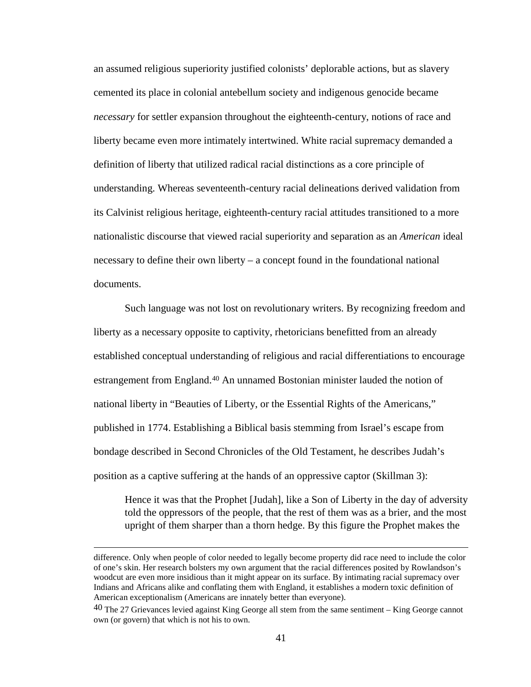an assumed religious superiority justified colonists' deplorable actions, but as slavery cemented its place in colonial antebellum society and indigenous genocide became *necessary* for settler expansion throughout the eighteenth-century, notions of race and liberty became even more intimately intertwined. White racial supremacy demanded a definition of liberty that utilized radical racial distinctions as a core principle of understanding. Whereas seventeenth-century racial delineations derived validation from its Calvinist religious heritage, eighteenth-century racial attitudes transitioned to a more nationalistic discourse that viewed racial superiority and separation as an *American* ideal necessary to define their own liberty – a concept found in the foundational national documents.

Such language was not lost on revolutionary writers. By recognizing freedom and liberty as a necessary opposite to captivity, rhetoricians benefitted from an already established conceptual understanding of religious and racial differentiations to encourage estrangement from England.<sup>[40](#page-48-0)</sup> An unnamed Bostonian minister lauded the notion of national liberty in "Beauties of Liberty, or the Essential Rights of the Americans," published in 1774. Establishing a Biblical basis stemming from Israel's escape from bondage described in Second Chronicles of the Old Testament, he describes Judah's position as a captive suffering at the hands of an oppressive captor (Skillman 3):

Hence it was that the Prophet [Judah], like a Son of Liberty in the day of adversity told the oppressors of the people, that the rest of them was as a brier, and the most upright of them sharper than a thorn hedge. By this figure the Prophet makes the

difference. Only when people of color needed to legally become property did race need to include the color of one's skin. Her research bolsters my own argument that the racial differences posited by Rowlandson's woodcut are even more insidious than it might appear on its surface. By intimating racial supremacy over Indians and Africans alike and conflating them with England, it establishes a modern toxic definition of American exceptionalism (Americans are innately better than everyone).

<span id="page-48-0"></span> $40$  The 27 Grievances levied against King George all stem from the same sentiment – King George cannot own (or govern) that which is not his to own.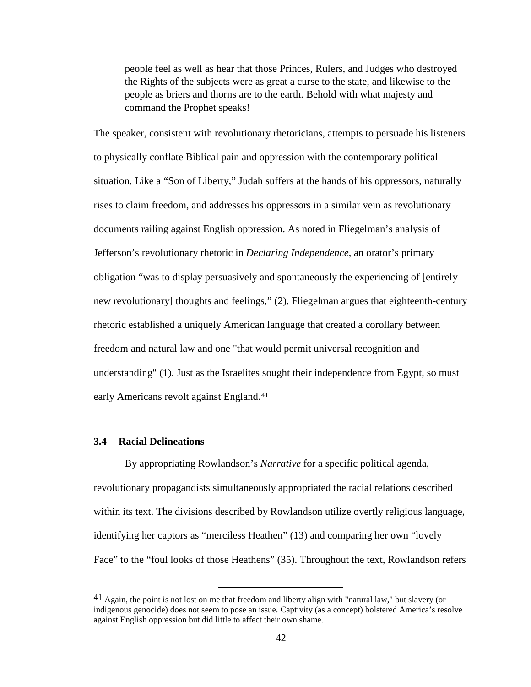people feel as well as hear that those Princes, Rulers, and Judges who destroyed the Rights of the subjects were as great a curse to the state, and likewise to the people as briers and thorns are to the earth. Behold with what majesty and command the Prophet speaks!

The speaker, consistent with revolutionary rhetoricians, attempts to persuade his listeners to physically conflate Biblical pain and oppression with the contemporary political situation. Like a "Son of Liberty," Judah suffers at the hands of his oppressors, naturally rises to claim freedom, and addresses his oppressors in a similar vein as revolutionary documents railing against English oppression. As noted in Fliegelman's analysis of Jefferson's revolutionary rhetoric in *Declaring Independence*, an orator's primary obligation "was to display persuasively and spontaneously the experiencing of [entirely new revolutionary] thoughts and feelings," (2). Fliegelman argues that eighteenth-century rhetoric established a uniquely American language that created a corollary between freedom and natural law and one "that would permit universal recognition and understanding" (1). Just as the Israelites sought their independence from Egypt, so must early Americans revolt against England.<sup>41</sup>

### **3.4 Racial Delineations**

By appropriating Rowlandson's *Narrative* for a specific political agenda, revolutionary propagandists simultaneously appropriated the racial relations described within its text. The divisions described by Rowlandson utilize overtly religious language, identifying her captors as "merciless Heathen" (13) and comparing her own "lovely Face" to the "foul looks of those Heathens" (35). Throughout the text, Rowlandson refers

<span id="page-49-0"></span> <sup>41</sup> Again, the point is not lost on me that freedom and liberty align with "natural law," but slavery (or indigenous genocide) does not seem to pose an issue. Captivity (as a concept) bolstered America's resolve against English oppression but did little to affect their own shame.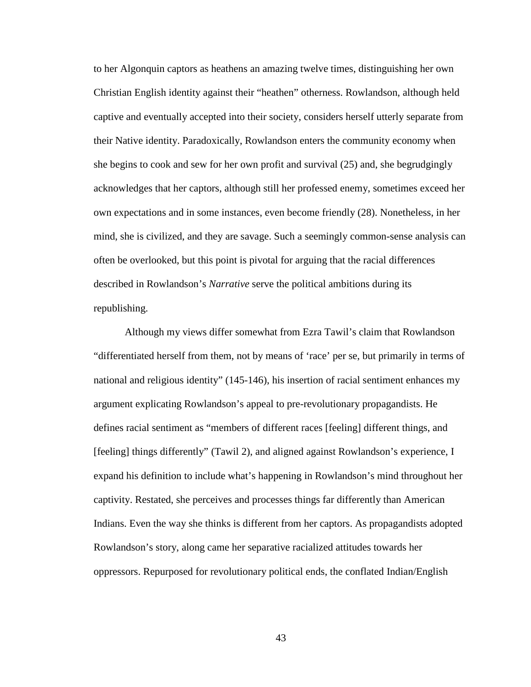to her Algonquin captors as heathens an amazing twelve times, distinguishing her own Christian English identity against their "heathen" otherness. Rowlandson, although held captive and eventually accepted into their society, considers herself utterly separate from their Native identity. Paradoxically, Rowlandson enters the community economy when she begins to cook and sew for her own profit and survival (25) and, she begrudgingly acknowledges that her captors, although still her professed enemy, sometimes exceed her own expectations and in some instances, even become friendly (28). Nonetheless, in her mind, she is civilized, and they are savage. Such a seemingly common-sense analysis can often be overlooked, but this point is pivotal for arguing that the racial differences described in Rowlandson's *Narrative* serve the political ambitions during its republishing.

Although my views differ somewhat from Ezra Tawil's claim that Rowlandson "differentiated herself from them, not by means of 'race' per se, but primarily in terms of national and religious identity" (145-146), his insertion of racial sentiment enhances my argument explicating Rowlandson's appeal to pre-revolutionary propagandists. He defines racial sentiment as "members of different races [feeling] different things, and [feeling] things differently" (Tawil 2), and aligned against Rowlandson's experience, I expand his definition to include what's happening in Rowlandson's mind throughout her captivity. Restated, she perceives and processes things far differently than American Indians. Even the way she thinks is different from her captors. As propagandists adopted Rowlandson's story, along came her separative racialized attitudes towards her oppressors. Repurposed for revolutionary political ends, the conflated Indian/English

43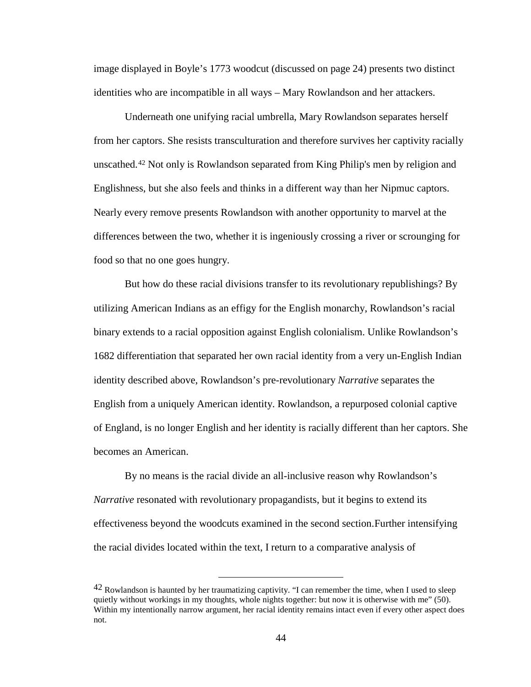image displayed in Boyle's 1773 woodcut (discussed on page 24) presents two distinct identities who are incompatible in all ways – Mary Rowlandson and her attackers.

Underneath one unifying racial umbrella, Mary Rowlandson separates herself from her captors. She resists transculturation and therefore survives her captivity racially unscathed.[42](#page-51-0) Not only is Rowlandson separated from King Philip's men by religion and Englishness, but she also feels and thinks in a different way than her Nipmuc captors. Nearly every remove presents Rowlandson with another opportunity to marvel at the differences between the two, whether it is ingeniously crossing a river or scrounging for food so that no one goes hungry.

But how do these racial divisions transfer to its revolutionary republishings? By utilizing American Indians as an effigy for the English monarchy, Rowlandson's racial binary extends to a racial opposition against English colonialism. Unlike Rowlandson's 1682 differentiation that separated her own racial identity from a very un-English Indian identity described above, Rowlandson's pre-revolutionary *Narrative* separates the English from a uniquely American identity. Rowlandson, a repurposed colonial captive of England, is no longer English and her identity is racially different than her captors. She becomes an American.

By no means is the racial divide an all-inclusive reason why Rowlandson's *Narrative* resonated with revolutionary propagandists, but it begins to extend its effectiveness beyond the woodcuts examined in the second section.Further intensifying the racial divides located within the text, I return to a comparative analysis of

<span id="page-51-0"></span> $42$  Rowlandson is haunted by her traumatizing captivity. "I can remember the time, when I used to sleep quietly without workings in my thoughts, whole nights together: but now it is otherwise with me" (50). Within my intentionally narrow argument, her racial identity remains intact even if every other aspect does not.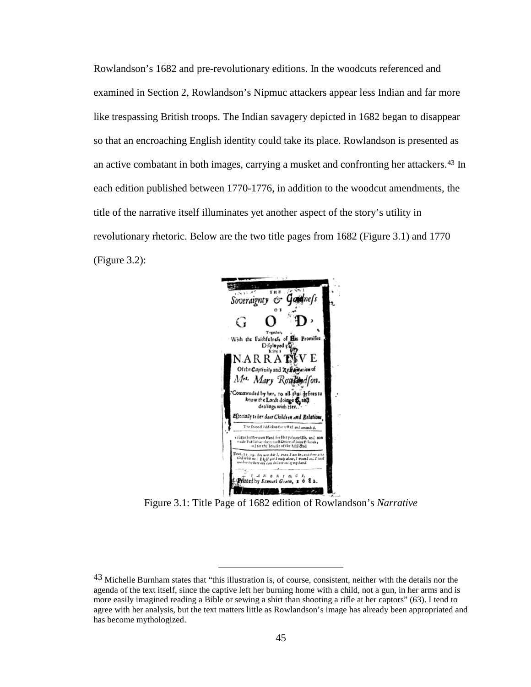Rowlandson's 1682 and pre-revolutionary editions. In the woodcuts referenced and examined in Section 2, Rowlandson's Nipmuc attackers appear less Indian and far more like trespassing British troops. The Indian savagery depicted in 1682 began to disappear so that an encroaching English identity could take its place. Rowlandson is presented as an active combatant in both images, carrying a musket and confronting her attackers.[43](#page-52-0) In each edition published between 1770-1776, in addition to the woodcut amendments, the title of the narrative itself illuminates yet another aspect of the story's utility in revolutionary rhetoric. Below are the two title pages from 1682 (Figure 3.1) and 1770 (Figure 3.2):



Figure 3.1: Title Page of 1682 edition of Rowlandson's *Narrative*

<span id="page-52-0"></span><sup>43</sup> Michelle Burnham states that "this illustration is, of course, consistent, neither with the details nor the agenda of the text itself, since the captive left her burning home with a child, not a gun, in her arms and is more easily imagined reading a Bible or sewing a shirt than shooting a rifle at her captors" (63). I tend to agree with her analysis, but the text matters little as Rowlandson's image has already been appropriated and has become mythologized.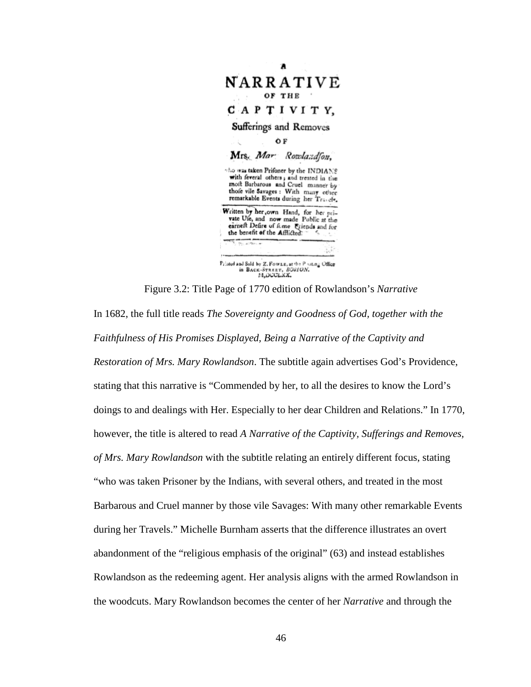

Figure 3.2: Title Page of 1770 edition of Rowlandson's *Narrative*

In 1682, the full title reads *The Sovereignty and Goodness of God, together with the Faithfulness of His Promises Displayed, Being a Narrative of the Captivity and Restoration of Mrs. Mary Rowlandson*. The subtitle again advertises God's Providence, stating that this narrative is "Commended by her, to all the desires to know the Lord's doings to and dealings with Her. Especially to her dear Children and Relations." In 1770, however, the title is altered to read *A Narrative of the Captivity, Sufferings and Removes, of Mrs. Mary Rowlandson* with the subtitle relating an entirely different focus, stating "who was taken Prisoner by the Indians, with several others, and treated in the most Barbarous and Cruel manner by those vile Savages: With many other remarkable Events during her Travels." Michelle Burnham asserts that the difference illustrates an overt abandonment of the "religious emphasis of the original" (63) and instead establishes Rowlandson as the redeeming agent. Her analysis aligns with the armed Rowlandson in the woodcuts. Mary Rowlandson becomes the center of her *Narrative* and through the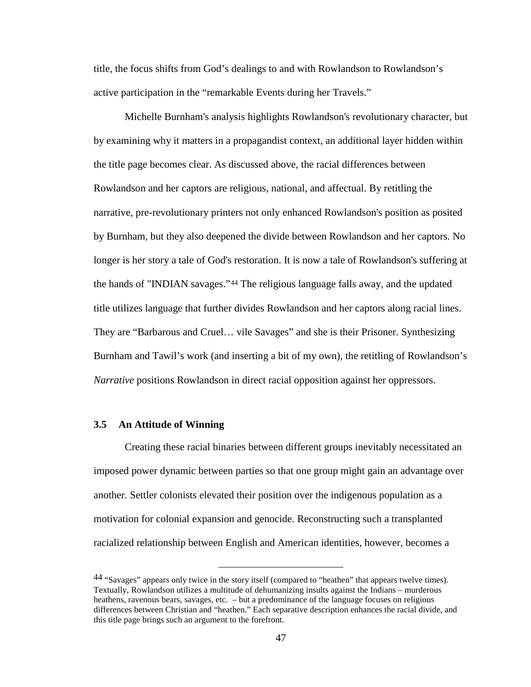title, the focus shifts from God's dealings to and with Rowlandson to Rowlandson's active participation in the "remarkable Events during her Travels."

Michelle Burnham's analysis highlights Rowlandson's revolutionary character, but by examining why it matters in a propagandist context, an additional layer hidden within the title page becomes clear. As discussed above, the racial differences between Rowlandson and her captors are religious, national, and affectual. By retitling the narrative, pre-revolutionary printers not only enhanced Rowlandson's position as posited by Burnham, but they also deepened the divide between Rowlandson and her captors. No longer is her story a tale of God's restoration. It is now a tale of Rowlandson's suffering at the hands of "INDIAN savages."[44](#page-54-0) The religious language falls away, and the updated title utilizes language that further divides Rowlandson and her captors along racial lines. They are "Barbarous and Cruel… vile Savages" and she is their Prisoner. Synthesizing Burnham and Tawil's work (and inserting a bit of my own), the retitling of Rowlandson's *Narrative* positions Rowlandson in direct racial opposition against her oppressors.

# **3.5 An Attitude of Winning**

Creating these racial binaries between different groups inevitably necessitated an imposed power dynamic between parties so that one group might gain an advantage over another. Settler colonists elevated their position over the indigenous population as a motivation for colonial expansion and genocide. Reconstructing such a transplanted racialized relationship between English and American identities, however, becomes a

<span id="page-54-0"></span><sup>44</sup> "Savages" appears only twice in the story itself (compared to "heathen" that appears twelve times). Textually, Rowlandson utilizes a multitude of dehumanizing insults against the Indians – murderous heathens, ravenous bears, savages, etc. – but a predominance of the language focuses on religious differences between Christian and "heathen." Each separative description enhances the racial divide, and this title page brings such an argument to the forefront.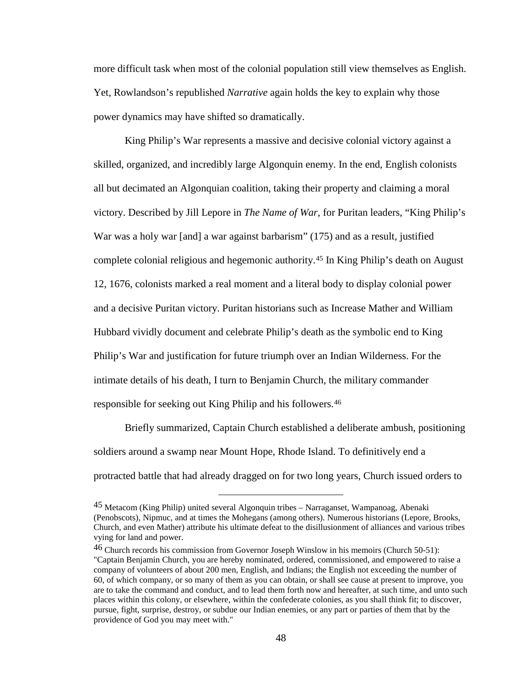more difficult task when most of the colonial population still view themselves as English. Yet, Rowlandson's republished *Narrative* again holds the key to explain why those power dynamics may have shifted so dramatically.

King Philip's War represents a massive and decisive colonial victory against a skilled, organized, and incredibly large Algonquin enemy. In the end, English colonists all but decimated an Algonquian coalition, taking their property and claiming a moral victory. Described by Jill Lepore in *The Name of War*, for Puritan leaders, "King Philip's War was a holy war [and] a war against barbarism" (175) and as a result, justified complete colonial religious and hegemonic authority.[45](#page-55-0) In King Philip's death on August 12, 1676, colonists marked a real moment and a literal body to display colonial power and a decisive Puritan victory. Puritan historians such as Increase Mather and William Hubbard vividly document and celebrate Philip's death as the symbolic end to King Philip's War and justification for future triumph over an Indian Wilderness. For the intimate details of his death, I turn to Benjamin Church, the military commander responsible for seeking out King Philip and his followers.[46](#page-55-1)

Briefly summarized, Captain Church established a deliberate ambush, positioning soldiers around a swamp near Mount Hope, Rhode Island. To definitively end a protracted battle that had already dragged on for two long years, Church issued orders to

<span id="page-55-0"></span> <sup>45</sup> Metacom (King Philip) united several Algonquin tribes – Narraganset, Wampanoag, Abenaki (Penobscots), Nipmuc, and at times the Mohegans (among others). Numerous historians (Lepore, Brooks, Church, and even Mather) attribute his ultimate defeat to the disillusionment of alliances and various tribes vying for land and power.

<span id="page-55-1"></span><sup>46</sup> Church records his commission from Governor Joseph Winslow in his memoirs (Church 50-51): "Captain Benjamin Church, you are hereby nominated, ordered, commissioned, and empowered to raise a company of volunteers of about 200 men, English, and Indians; the English not exceeding the number of 60, of which company, or so many of them as you can obtain, or shall see cause at present to improve, you are to take the command and conduct, and to lead them forth now and hereafter, at such time, and unto such places within this colony, or elsewhere, within the confederate colonies, as you shall think fit; to discover, pursue, fight, surprise, destroy, or subdue our Indian enemies, or any part or parties of them that by the providence of God you may meet with."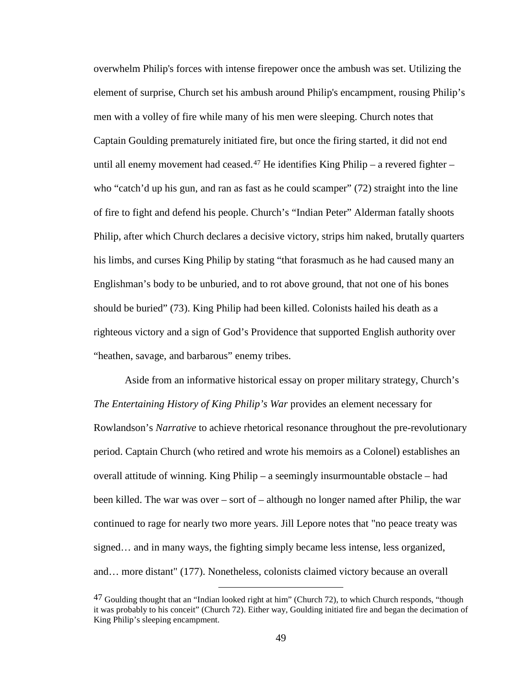overwhelm Philip's forces with intense firepower once the ambush was set. Utilizing the element of surprise, Church set his ambush around Philip's encampment, rousing Philip's men with a volley of fire while many of his men were sleeping. Church notes that Captain Goulding prematurely initiated fire, but once the firing started, it did not end until all enemy movement had ceased.<sup>[47](#page-56-0)</sup> He identifies King Philip – a revered fighter – who "catch'd up his gun, and ran as fast as he could scamper" (72) straight into the line of fire to fight and defend his people. Church's "Indian Peter" Alderman fatally shoots Philip, after which Church declares a decisive victory, strips him naked, brutally quarters his limbs, and curses King Philip by stating "that forasmuch as he had caused many an Englishman's body to be unburied, and to rot above ground, that not one of his bones should be buried" (73). King Philip had been killed. Colonists hailed his death as a righteous victory and a sign of God's Providence that supported English authority over "heathen, savage, and barbarous" enemy tribes.

Aside from an informative historical essay on proper military strategy, Church's *The Entertaining History of King Philip's War provides an element necessary for* Rowlandson's *Narrative* to achieve rhetorical resonance throughout the pre-revolutionary period. Captain Church (who retired and wrote his memoirs as a Colonel) establishes an overall attitude of winning. King Philip – a seemingly insurmountable obstacle – had been killed. The war was over – sort of – although no longer named after Philip, the war continued to rage for nearly two more years. Jill Lepore notes that "no peace treaty was signed… and in many ways, the fighting simply became less intense, less organized, and… more distant" (177). Nonetheless, colonists claimed victory because an overall

<span id="page-56-0"></span><sup>&</sup>lt;sup>47</sup> Goulding thought that an "Indian looked right at him" (Church 72), to which Church responds, "though it was probably to his conceit" (Church 72). Either way, Goulding initiated fire and began the decimation of King Philip's sleeping encampment.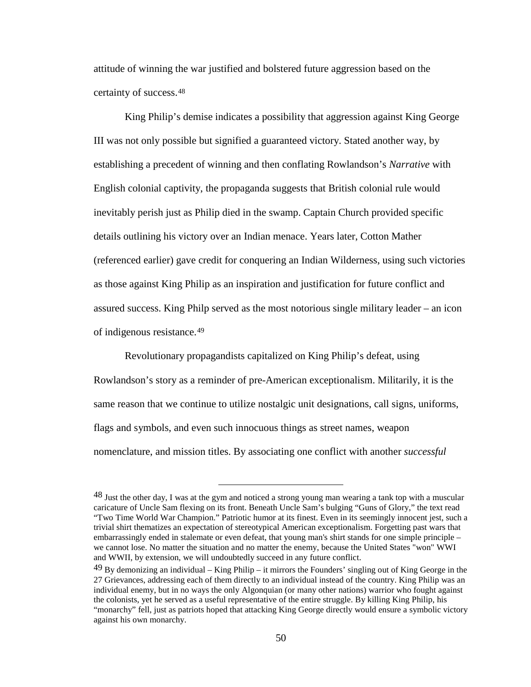attitude of winning the war justified and bolstered future aggression based on the certainty of success.[48](#page-57-0) 

King Philip's demise indicates a possibility that aggression against King George III was not only possible but signified a guaranteed victory. Stated another way, by establishing a precedent of winning and then conflating Rowlandson's *Narrative* with English colonial captivity, the propaganda suggests that British colonial rule would inevitably perish just as Philip died in the swamp. Captain Church provided specific details outlining his victory over an Indian menace. Years later, Cotton Mather (referenced earlier) gave credit for conquering an Indian Wilderness, using such victories as those against King Philip as an inspiration and justification for future conflict and assured success. King Philp served as the most notorious single military leader – an icon of indigenous resistance.[49](#page-57-1)

Revolutionary propagandists capitalized on King Philip's defeat, using Rowlandson's story as a reminder of pre-American exceptionalism. Militarily, it is the same reason that we continue to utilize nostalgic unit designations, call signs, uniforms, flags and symbols, and even such innocuous things as street names, weapon nomenclature, and mission titles. By associating one conflict with another *successful*

<span id="page-57-0"></span><sup>48</sup> Just the other day, I was at the gym and noticed a strong young man wearing a tank top with a muscular caricature of Uncle Sam flexing on its front. Beneath Uncle Sam's bulging "Guns of Glory," the text read "Two Time World War Champion." Patriotic humor at its finest. Even in its seemingly innocent jest, such a trivial shirt thematizes an expectation of stereotypical American exceptionalism. Forgetting past wars that embarrassingly ended in stalemate or even defeat, that young man's shirt stands for one simple principle – we cannot lose. No matter the situation and no matter the enemy, because the United States "won" WWI and WWII, by extension, we will undoubtedly succeed in any future conflict.

<span id="page-57-1"></span> $^{49}$  By demonizing an individual – King Philip – it mirrors the Founders' singling out of King George in the 27 Grievances, addressing each of them directly to an individual instead of the country. King Philip was an individual enemy, but in no ways the only Algonquian (or many other nations) warrior who fought against the colonists, yet he served as a useful representative of the entire struggle. By killing King Philip, his "monarchy" fell, just as patriots hoped that attacking King George directly would ensure a symbolic victory against his own monarchy.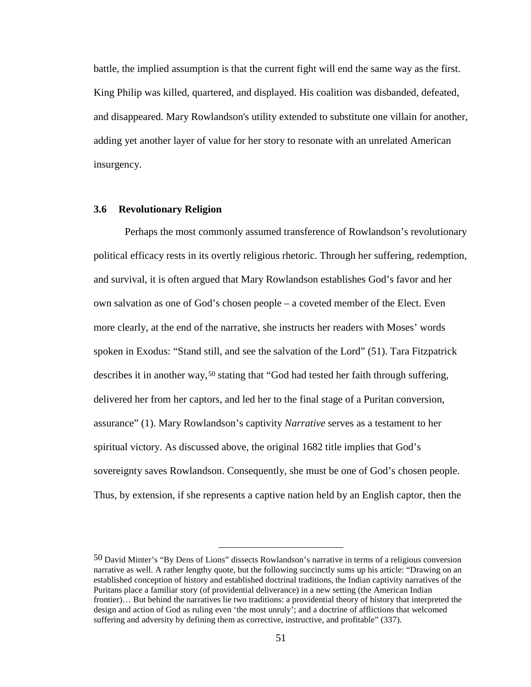battle, the implied assumption is that the current fight will end the same way as the first. King Philip was killed, quartered, and displayed. His coalition was disbanded, defeated, and disappeared. Mary Rowlandson's utility extended to substitute one villain for another, adding yet another layer of value for her story to resonate with an unrelated American insurgency.

## **3.6 Revolutionary Religion**

Perhaps the most commonly assumed transference of Rowlandson's revolutionary political efficacy rests in its overtly religious rhetoric. Through her suffering, redemption, and survival, it is often argued that Mary Rowlandson establishes God's favor and her own salvation as one of God's chosen people – a coveted member of the Elect. Even more clearly, at the end of the narrative, she instructs her readers with Moses' words spoken in Exodus: "Stand still, and see the salvation of the Lord" (51). Tara Fitzpatrick describes it in another way,<sup>[50](#page-58-0)</sup> stating that "God had tested her faith through suffering, delivered her from her captors, and led her to the final stage of a Puritan conversion, assurance" (1). Mary Rowlandson's captivity *Narrative* serves as a testament to her spiritual victory. As discussed above, the original 1682 title implies that God's sovereignty saves Rowlandson. Consequently, she must be one of God's chosen people. Thus, by extension, if she represents a captive nation held by an English captor, then the

<span id="page-58-0"></span><sup>50</sup> David Minter's "By Dens of Lions" dissects Rowlandson's narrative in terms of a religious conversion narrative as well. A rather lengthy quote, but the following succinctly sums up his article: "Drawing on an established conception of history and established doctrinal traditions, the Indian captivity narratives of the Puritans place a familiar story (of providential deliverance) in a new setting (the American Indian frontier)… But behind the narratives lie two traditions: a providential theory of history that interpreted the design and action of God as ruling even 'the most unruly'; and a doctrine of afflictions that welcomed suffering and adversity by defining them as corrective, instructive, and profitable" (337).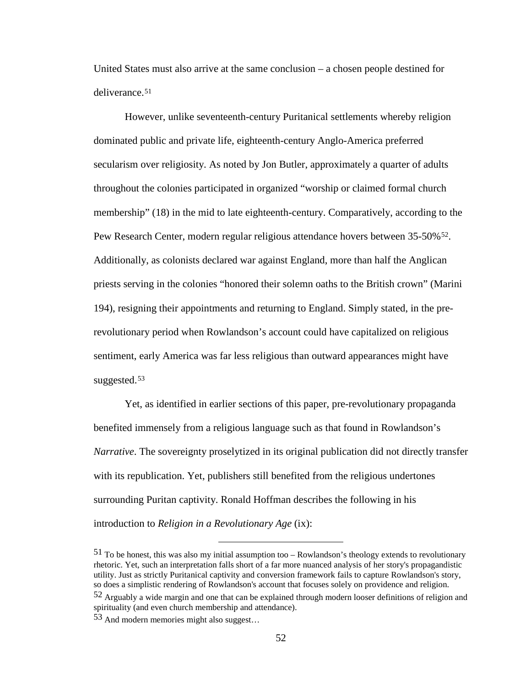United States must also arrive at the same conclusion – a chosen people destined for deliverance.[51](#page-59-0)

However, unlike seventeenth-century Puritanical settlements whereby religion dominated public and private life, eighteenth-century Anglo-America preferred secularism over religiosity. As noted by Jon Butler, approximately a quarter of adults throughout the colonies participated in organized "worship or claimed formal church membership" (18) in the mid to late eighteenth-century. Comparatively, according to the Pew Research Center, modern regular religious attendance hovers between 35-50% <sup>[52](#page-59-1)</sup>. Additionally, as colonists declared war against England, more than half the Anglican priests serving in the colonies "honored their solemn oaths to the British crown" (Marini 194), resigning their appointments and returning to England. Simply stated, in the prerevolutionary period when Rowlandson's account could have capitalized on religious sentiment, early America was far less religious than outward appearances might have suggested.<sup>[53](#page-59-2)</sup>

Yet, as identified in earlier sections of this paper, pre-revolutionary propaganda benefited immensely from a religious language such as that found in Rowlandson's *Narrative*. The sovereignty proselytized in its original publication did not directly transfer with its republication. Yet, publishers still benefited from the religious undertones surrounding Puritan captivity. Ronald Hoffman describes the following in his introduction to *Religion in a Revolutionary Age* (ix):

<span id="page-59-0"></span> $51$  To be honest, this was also my initial assumption too – Rowlandson's theology extends to revolutionary rhetoric. Yet, such an interpretation falls short of a far more nuanced analysis of her story's propagandistic utility. Just as strictly Puritanical captivity and conversion framework fails to capture Rowlandson's story, so does a simplistic rendering of Rowlandson's account that focuses solely on providence and religion.  $52$  Arguably a wide margin and one that can be explained through modern looser definitions of religion and

<span id="page-59-1"></span>spirituality (and even church membership and attendance).

<span id="page-59-2"></span><sup>53</sup> And modern memories might also suggest…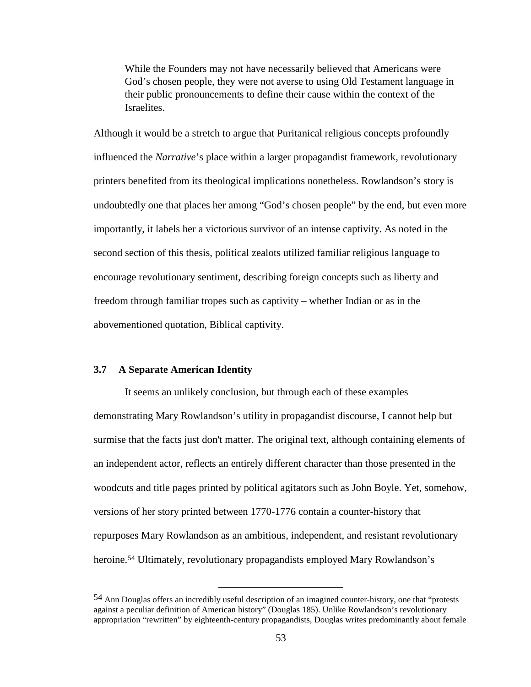While the Founders may not have necessarily believed that Americans were God's chosen people, they were not averse to using Old Testament language in their public pronouncements to define their cause within the context of the Israelites.

Although it would be a stretch to argue that Puritanical religious concepts profoundly influenced the *Narrative*'s place within a larger propagandist framework, revolutionary printers benefited from its theological implications nonetheless. Rowlandson's story is undoubtedly one that places her among "God's chosen people" by the end, but even more importantly, it labels her a victorious survivor of an intense captivity. As noted in the second section of this thesis, political zealots utilized familiar religious language to encourage revolutionary sentiment, describing foreign concepts such as liberty and freedom through familiar tropes such as captivity – whether Indian or as in the abovementioned quotation, Biblical captivity.

## **3.7 A Separate American Identity**

It seems an unlikely conclusion, but through each of these examples demonstrating Mary Rowlandson's utility in propagandist discourse, I cannot help but surmise that the facts just don't matter. The original text, although containing elements of an independent actor, reflects an entirely different character than those presented in the woodcuts and title pages printed by political agitators such as John Boyle. Yet, somehow, versions of her story printed between 1770-1776 contain a counter-history that repurposes Mary Rowlandson as an ambitious, independent, and resistant revolutionary heroine.[54](#page-60-0) Ultimately, revolutionary propagandists employed Mary Rowlandson's

<span id="page-60-0"></span> <sup>54</sup> Ann Douglas offers an incredibly useful description of an imagined counter-history, one that "protests against a peculiar definition of American history" (Douglas 185). Unlike Rowlandson's revolutionary appropriation "rewritten" by eighteenth-century propagandists, Douglas writes predominantly about female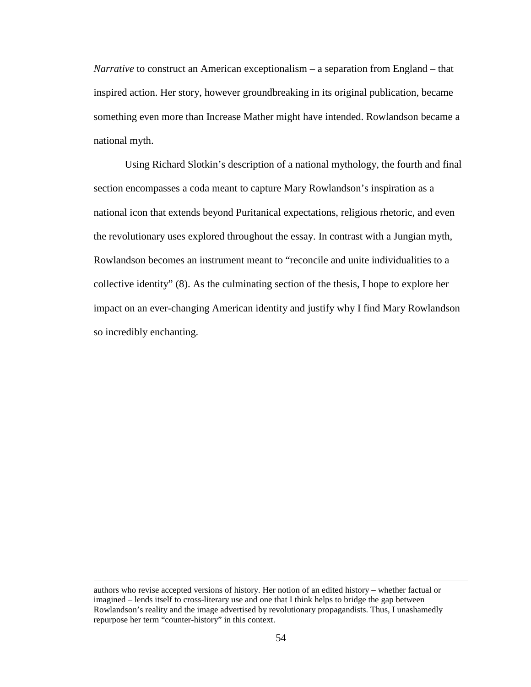*Narrative* to construct an American exceptionalism – a separation from England – that inspired action. Her story, however groundbreaking in its original publication, became something even more than Increase Mather might have intended. Rowlandson became a national myth.

Using Richard Slotkin's description of a national mythology, the fourth and final section encompasses a coda meant to capture Mary Rowlandson's inspiration as a national icon that extends beyond Puritanical expectations, religious rhetoric, and even the revolutionary uses explored throughout the essay. In contrast with a Jungian myth, Rowlandson becomes an instrument meant to "reconcile and unite individualities to a collective identity" (8). As the culminating section of the thesis, I hope to explore her impact on an ever-changing American identity and justify why I find Mary Rowlandson so incredibly enchanting.

authors who revise accepted versions of history. Her notion of an edited history – whether factual or imagined – lends itself to cross-literary use and one that I think helps to bridge the gap between Rowlandson's reality and the image advertised by revolutionary propagandists. Thus, I unashamedly repurpose her term "counter-history" in this context.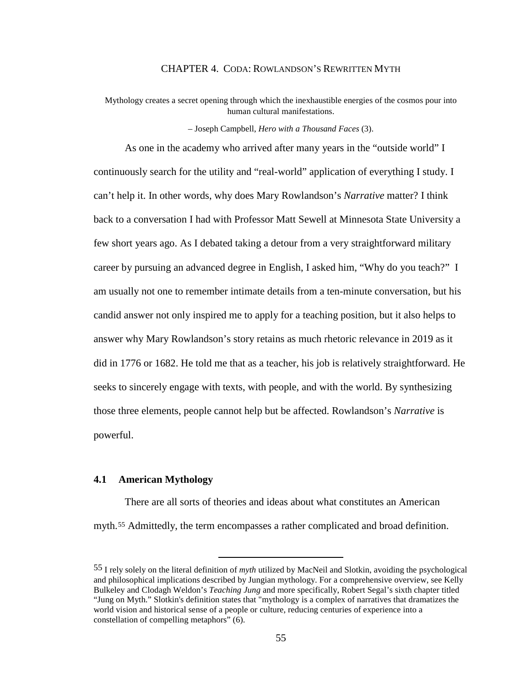#### CHAPTER 4. CODA: ROWLANDSON'S REWRITTEN MYTH

Mythology creates a secret opening through which the inexhaustible energies of the cosmos pour into human cultural manifestations.

– Joseph Campbell, *Hero with a Thousand Faces* (3).

As one in the academy who arrived after many years in the "outside world" I continuously search for the utility and "real-world" application of everything I study. I can't help it. In other words, why does Mary Rowlandson's *Narrative* matter? I think back to a conversation I had with Professor Matt Sewell at Minnesota State University a few short years ago. As I debated taking a detour from a very straightforward military career by pursuing an advanced degree in English, I asked him, "Why do you teach?" I am usually not one to remember intimate details from a ten-minute conversation, but his candid answer not only inspired me to apply for a teaching position, but it also helps to answer why Mary Rowlandson's story retains as much rhetoric relevance in 2019 as it did in 1776 or 1682. He told me that as a teacher, his job is relatively straightforward. He seeks to sincerely engage with texts, with people, and with the world. By synthesizing those three elements, people cannot help but be affected. Rowlandson's *Narrative* is powerful.

# **4.1 American Mythology**

There are all sorts of theories and ideas about what constitutes an American myth.[55](#page-62-0) Admittedly, the term encompasses a rather complicated and broad definition.

<span id="page-62-0"></span> <sup>55</sup> I rely solely on the literal definition of *myth* utilized by MacNeil and Slotkin, avoiding the psychological and philosophical implications described by Jungian mythology. For a comprehensive overview, see Kelly Bulkeley and Clodagh Weldon's *Teaching Jung* and more specifically, Robert Segal's sixth chapter titled "Jung on Myth." Slotkin's definition states that "mythology is a complex of narratives that dramatizes the world vision and historical sense of a people or culture, reducing centuries of experience into a constellation of compelling metaphors" (6).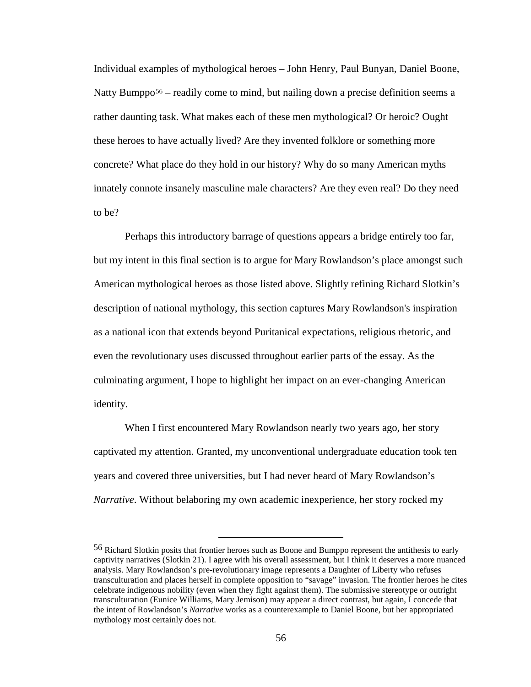Individual examples of mythological heroes – John Henry, Paul Bunyan, Daniel Boone, Natty Bumppo<sup>[56](#page-63-0)</sup> – readily come to mind, but nailing down a precise definition seems a rather daunting task. What makes each of these men mythological? Or heroic? Ought these heroes to have actually lived? Are they invented folklore or something more concrete? What place do they hold in our history? Why do so many American myths innately connote insanely masculine male characters? Are they even real? Do they need to be?

Perhaps this introductory barrage of questions appears a bridge entirely too far, but my intent in this final section is to argue for Mary Rowlandson's place amongst such American mythological heroes as those listed above. Slightly refining Richard Slotkin's description of national mythology, this section captures Mary Rowlandson's inspiration as a national icon that extends beyond Puritanical expectations, religious rhetoric, and even the revolutionary uses discussed throughout earlier parts of the essay. As the culminating argument, I hope to highlight her impact on an ever-changing American identity.

When I first encountered Mary Rowlandson nearly two years ago, her story captivated my attention. Granted, my unconventional undergraduate education took ten years and covered three universities, but I had never heard of Mary Rowlandson's *Narrative*. Without belaboring my own academic inexperience, her story rocked my

<span id="page-63-0"></span><sup>56</sup> Richard Slotkin posits that frontier heroes such as Boone and Bumppo represent the antithesis to early captivity narratives (Slotkin 21). I agree with his overall assessment, but I think it deserves a more nuanced analysis. Mary Rowlandson's pre-revolutionary image represents a Daughter of Liberty who refuses transculturation and places herself in complete opposition to "savage" invasion. The frontier heroes he cites celebrate indigenous nobility (even when they fight against them). The submissive stereotype or outright transculturation (Eunice Williams, Mary Jemison) may appear a direct contrast, but again, I concede that the intent of Rowlandson's *Narrative* works as a counterexample to Daniel Boone, but her appropriated mythology most certainly does not.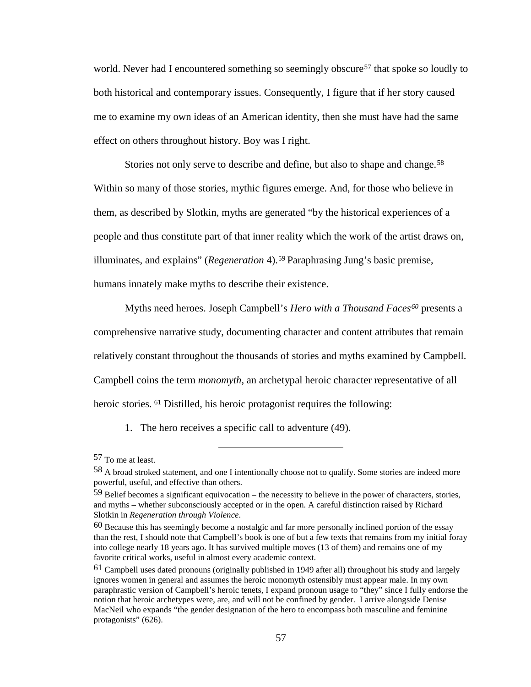world. Never had I encountered something so seemingly obscure<sup>[57](#page-64-0)</sup> that spoke so loudly to both historical and contemporary issues. Consequently, I figure that if her story caused me to examine my own ideas of an American identity, then she must have had the same effect on others throughout history. Boy was I right.

Stories not only serve to describe and define, but also to shape and change.<sup>[58](#page-64-1)</sup> Within so many of those stories, mythic figures emerge. And, for those who believe in them, as described by Slotkin, myths are generated "by the historical experiences of a people and thus constitute part of that inner reality which the work of the artist draws on, illuminates, and explains" (*Regeneration* 4).[59](#page-64-2) Paraphrasing Jung's basic premise, humans innately make myths to describe their existence.

Myths need heroes. Joseph Campbell's *Hero with a Thousand Faces[60](#page-64-3)* presents a comprehensive narrative study, documenting character and content attributes that remain relatively constant throughout the thousands of stories and myths examined by Campbell. Campbell coins the term *monomyth*, an archetypal heroic character representative of all heroic stories. <sup>[61](#page-64-4)</sup> Distilled, his heroic protagonist requires the following:

1. The hero receives a specific call to adventure (49).

<span id="page-64-0"></span><sup>57</sup> To me at least.

<span id="page-64-1"></span><sup>58</sup> A broad stroked statement, and one I intentionally choose not to qualify. Some stories are indeed more powerful, useful, and effective than others.

<span id="page-64-2"></span><sup>59</sup> Belief becomes a significant equivocation – the necessity to believe in the power of characters, stories, and myths – whether subconsciously accepted or in the open. A careful distinction raised by Richard Slotkin in *Regeneration through Violence*.

<span id="page-64-3"></span> $60$  Because this has seemingly become a nostalgic and far more personally inclined portion of the essay than the rest, I should note that Campbell's book is one of but a few texts that remains from my initial foray into college nearly 18 years ago. It has survived multiple moves (13 of them) and remains one of my favorite critical works, useful in almost every academic context.

<span id="page-64-4"></span><sup>&</sup>lt;sup>61</sup> Campbell uses dated pronouns (originally published in 1949 after all) throughout his study and largely ignores women in general and assumes the heroic monomyth ostensibly must appear male. In my own paraphrastic version of Campbell's heroic tenets, I expand pronoun usage to "they" since I fully endorse the notion that heroic archetypes were, are, and will not be confined by gender. I arrive alongside Denise MacNeil who expands "the gender designation of the hero to encompass both masculine and feminine protagonists" (626).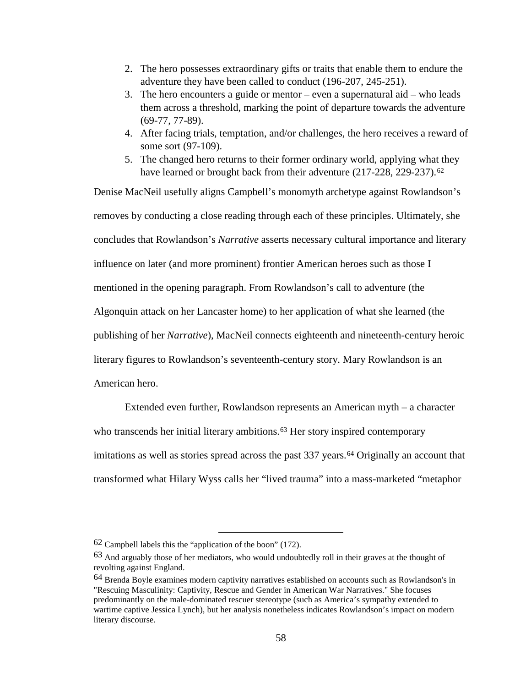- 2. The hero possesses extraordinary gifts or traits that enable them to endure the adventure they have been called to conduct (196-207, 245-251).
- 3. The hero encounters a guide or mentor even a supernatural aid who leads them across a threshold, marking the point of departure towards the adventure (69-77, 77-89).
- 4. After facing trials, temptation, and/or challenges, the hero receives a reward of some sort (97-109).
- 5. The changed hero returns to their former ordinary world, applying what they have learned or brought back from their adventure (217-228, 229-237).<sup>[62](#page-65-0)</sup>

Denise MacNeil usefully aligns Campbell's monomyth archetype against Rowlandson's removes by conducting a close reading through each of these principles. Ultimately, she concludes that Rowlandson's *Narrative* asserts necessary cultural importance and literary influence on later (and more prominent) frontier American heroes such as those I mentioned in the opening paragraph. From Rowlandson's call to adventure (the Algonquin attack on her Lancaster home) to her application of what she learned (the publishing of her *Narrative*), MacNeil connects eighteenth and nineteenth-century heroic literary figures to Rowlandson's seventeenth-century story. Mary Rowlandson is an American hero.

Extended even further, Rowlandson represents an American myth – a character who transcends her initial literary ambitions.<sup>[63](#page-65-1)</sup> Her story inspired contemporary imitations as well as stories spread across the past 337 years.<sup>[64](#page-65-2)</sup> Originally an account that transformed what Hilary Wyss calls her "lived trauma" into a mass-marketed "metaphor

<span id="page-65-0"></span> $62$  Campbell labels this the "application of the boon" (172).

<span id="page-65-1"></span><sup>&</sup>lt;sup>63</sup> And arguably those of her mediators, who would undoubtedly roll in their graves at the thought of revolting against England.

<span id="page-65-2"></span><sup>64</sup> Brenda Boyle examines modern captivity narratives established on accounts such as Rowlandson's in "Rescuing Masculinity: Captivity, Rescue and Gender in American War Narratives." She focuses predominantly on the male-dominated rescuer stereotype (such as America's sympathy extended to wartime captive Jessica Lynch), but her analysis nonetheless indicates Rowlandson's impact on modern literary discourse.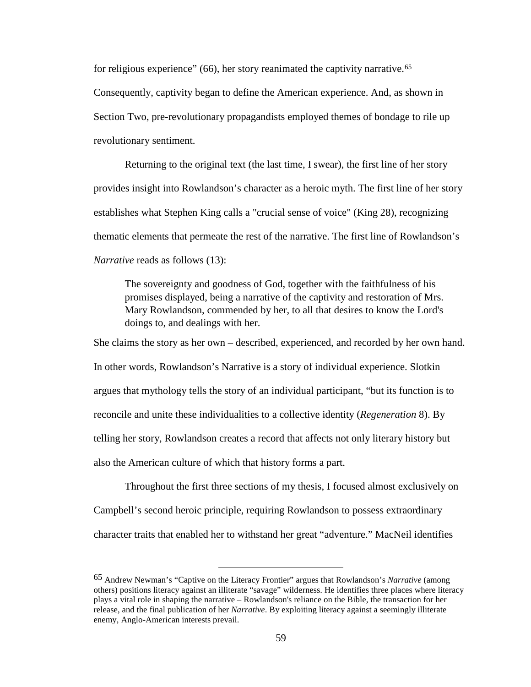for religious experience" (66), her story reanimated the captivity narrative.<sup>[65](#page-66-0)</sup> Consequently, captivity began to define the American experience. And, as shown in Section Two, pre-revolutionary propagandists employed themes of bondage to rile up revolutionary sentiment.

Returning to the original text (the last time, I swear), the first line of her story provides insight into Rowlandson's character as a heroic myth. The first line of her story establishes what Stephen King calls a "crucial sense of voice" (King 28), recognizing thematic elements that permeate the rest of the narrative. The first line of Rowlandson's *Narrative* reads as follows (13):

The sovereignty and goodness of God, together with the faithfulness of his promises displayed, being a narrative of the captivity and restoration of Mrs. Mary Rowlandson, commended by her, to all that desires to know the Lord's doings to, and dealings with her.

She claims the story as her own – described, experienced, and recorded by her own hand. In other words, Rowlandson's Narrative is a story of individual experience. Slotkin argues that mythology tells the story of an individual participant, "but its function is to reconcile and unite these individualities to a collective identity (*Regeneration* 8). By telling her story, Rowlandson creates a record that affects not only literary history but also the American culture of which that history forms a part.

Throughout the first three sections of my thesis, I focused almost exclusively on Campbell's second heroic principle, requiring Rowlandson to possess extraordinary character traits that enabled her to withstand her great "adventure." MacNeil identifies

<span id="page-66-0"></span><sup>65</sup> Andrew Newman's "Captive on the Literacy Frontier" argues that Rowlandson's *Narrative* (among others) positions literacy against an illiterate "savage" wilderness. He identifies three places where literacy plays a vital role in shaping the narrative – Rowlandson's reliance on the Bible, the transaction for her release, and the final publication of her *Narrative*. By exploiting literacy against a seemingly illiterate enemy, Anglo-American interests prevail.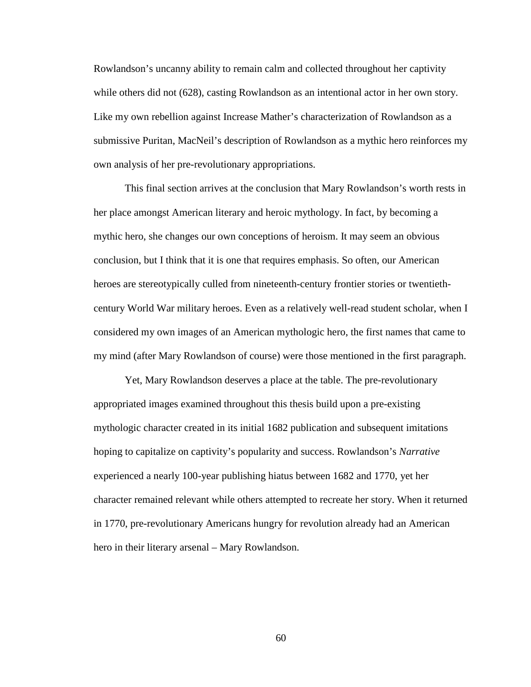Rowlandson's uncanny ability to remain calm and collected throughout her captivity while others did not (628), casting Rowlandson as an intentional actor in her own story. Like my own rebellion against Increase Mather's characterization of Rowlandson as a submissive Puritan, MacNeil's description of Rowlandson as a mythic hero reinforces my own analysis of her pre-revolutionary appropriations.

This final section arrives at the conclusion that Mary Rowlandson's worth rests in her place amongst American literary and heroic mythology. In fact, by becoming a mythic hero, she changes our own conceptions of heroism. It may seem an obvious conclusion, but I think that it is one that requires emphasis. So often, our American heroes are stereotypically culled from nineteenth-century frontier stories or twentiethcentury World War military heroes. Even as a relatively well-read student scholar, when I considered my own images of an American mythologic hero, the first names that came to my mind (after Mary Rowlandson of course) were those mentioned in the first paragraph.

Yet, Mary Rowlandson deserves a place at the table. The pre-revolutionary appropriated images examined throughout this thesis build upon a pre-existing mythologic character created in its initial 1682 publication and subsequent imitations hoping to capitalize on captivity's popularity and success. Rowlandson's *Narrative* experienced a nearly 100-year publishing hiatus between 1682 and 1770, yet her character remained relevant while others attempted to recreate her story. When it returned in 1770, pre-revolutionary Americans hungry for revolution already had an American hero in their literary arsenal – Mary Rowlandson.

60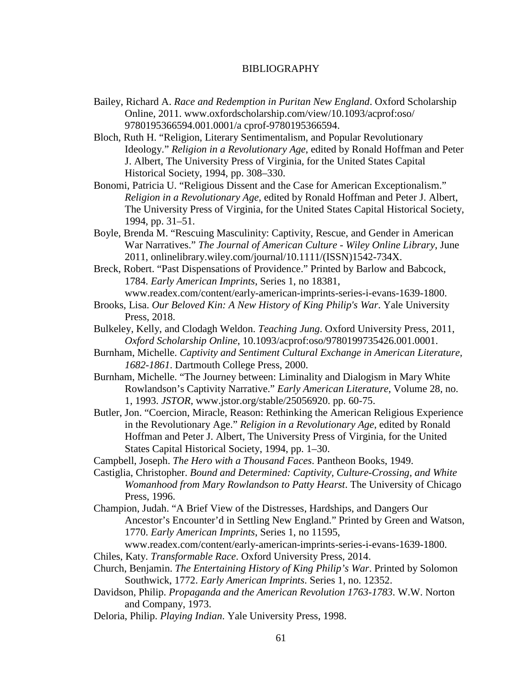### BIBLIOGRAPHY

- Bailey, Richard A. *Race and Redemption in Puritan New England*. Oxford Scholarship Online, 2011. www.oxfordscholarship.com/view/10.1093/acprof:oso/ 9780195366594.001.0001/a cprof-9780195366594.
- Bloch, Ruth H. "Religion, Literary Sentimentalism, and Popular Revolutionary Ideology." *Religion in a Revolutionary Age*, edited by Ronald Hoffman and Peter J. Albert, The University Press of Virginia, for the United States Capital Historical Society, 1994, pp. 308–330.
- Bonomi, Patricia U. "Religious Dissent and the Case for American Exceptionalism." *Religion in a Revolutionary Age*, edited by Ronald Hoffman and Peter J. Albert, The University Press of Virginia, for the United States Capital Historical Society, 1994, pp. 31–51.
- Boyle, Brenda M. "Rescuing Masculinity: Captivity, Rescue, and Gender in American War Narratives." *The Journal of American Culture - Wiley Online Library*, June 2011, onlinelibrary.wiley.com/journal/10.1111/(ISSN)1542-734X.
- Breck, Robert. "Past Dispensations of Providence." Printed by Barlow and Babcock, 1784. *Early American Imprints*, Series 1, no 18381, www.readex.com/content/early-american-imprints-series-i-evans-1639-1800.

Brooks, Lisa. *Our Beloved Kin: A New History of King Philip's War*. Yale University

- Press, 2018.
- Bulkeley, Kelly, and Clodagh Weldon. *Teaching Jung*. Oxford University Press, 2011, *Oxford Scholarship Online*, 10.1093/acprof:oso/9780199735426.001.0001.
- Burnham, Michelle. *Captivity and Sentiment Cultural Exchange in American Literature, 1682-1861*. Dartmouth College Press, 2000.
- Burnham, Michelle. "The Journey between: Liminality and Dialogism in Mary White Rowlandson's Captivity Narrative." *Early American Literature*, Volume 28, no. 1, 1993. *JSTOR*, www.jstor.org/stable/25056920. pp. 60-75.
- Butler, Jon. "Coercion, Miracle, Reason: Rethinking the American Religious Experience in the Revolutionary Age." *Religion in a Revolutionary Age*, edited by Ronald Hoffman and Peter J. Albert, The University Press of Virginia, for the United States Capital Historical Society, 1994, pp. 1–30.
- Campbell, Joseph. *The Hero with a Thousand Faces*. Pantheon Books, 1949.
- Castiglia, Christopher. *Bound and Determined: Captivity, Culture-Crossing, and White Womanhood from Mary Rowlandson to Patty Hearst*. The University of Chicago Press, 1996.
- Champion, Judah. "A Brief View of the Distresses, Hardships, and Dangers Our Ancestor's Encounter'd in Settling New England." Printed by Green and Watson, 1770. *Early American Imprints*, Series 1, no 11595,
- www.readex.com/content/early-american-imprints-series-i-evans-1639-1800. Chiles, Katy. *Transformable Race*. Oxford University Press, 2014.
- Church, Benjamin. *The Entertaining History of King Philip's War*. Printed by Solomon Southwick, 1772. *Early American Imprints*. Series 1, no. 12352.
- Davidson, Philip. *Propaganda and the American Revolution 1763-1783*. W.W. Norton and Company, 1973.
- Deloria, Philip. *Playing Indian*. Yale University Press, 1998.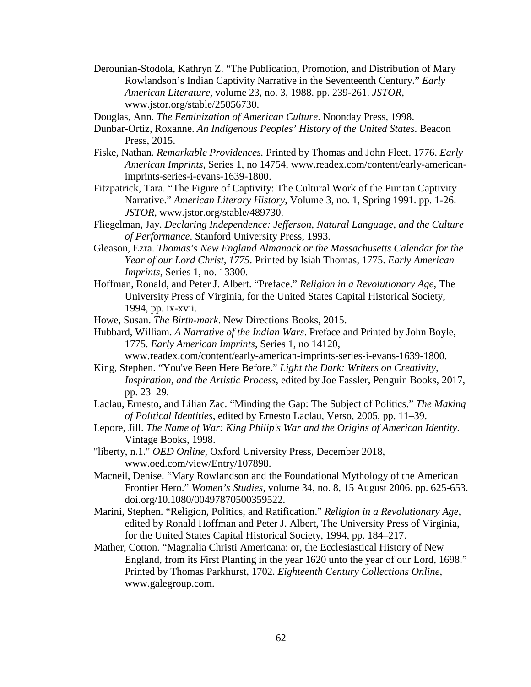- Derounian-Stodola, Kathryn Z. "The Publication, Promotion, and Distribution of Mary Rowlandson's Indian Captivity Narrative in the Seventeenth Century." *Early American Literature,* volume 23, no. 3, 1988. pp. 239-261. *JSTOR*, www.jstor.org/stable/25056730.
- Douglas, Ann. *The Feminization of American Culture*. Noonday Press, 1998.
- Dunbar-Ortiz, Roxanne. *An Indigenous Peoples' History of the United States*. Beacon Press, 2015.
- Fiske, Nathan. *Remarkable Providences.* Printed by Thomas and John Fleet. 1776. *Early American Imprints*, Series 1, no 14754, www.readex.com/content/early-americanimprints-series-i-evans-1639-1800.
- Fitzpatrick, Tara. "The Figure of Captivity: The Cultural Work of the Puritan Captivity Narrative." *American Literary History*, Volume 3, no. 1, Spring 1991. pp. 1-26. *JSTOR*, www.jstor.org/stable/489730.
- Fliegelman, Jay. *Declaring Independence: Jefferson, Natural Language, and the Culture of Performance*. Stanford University Press, 1993.
- Gleason, Ezra. *Thomas's New England Almanack or the Massachusetts Calendar for the Year of our Lord Christ, 1775*. Printed by Isiah Thomas, 1775. *Early American Imprints*, Series 1, no. 13300.
- Hoffman, Ronald, and Peter J. Albert. "Preface." *Religion in a Revolutionary Age*, The University Press of Virginia, for the United States Capital Historical Society, 1994, pp. ix-xvii.
- Howe, Susan. *The Birth-mark*. New Directions Books, 2015.
- Hubbard, William. *A Narrative of the Indian Wars*. Preface and Printed by John Boyle, 1775. *Early American Imprints*, Series 1, no 14120,

www.readex.com/content/early-american-imprints-series-i-evans-1639-1800.

- King, Stephen. "You've Been Here Before." *Light the Dark: Writers on Creativity, Inspiration, and the Artistic Process*, edited by Joe Fassler, Penguin Books, 2017, pp. 23–29.
- Laclau, Ernesto, and Lilian Zac. "Minding the Gap: The Subject of Politics." *The Making of Political Identities*, edited by Ernesto Laclau, Verso, 2005, pp. 11–39.
- Lepore, Jill. *The Name of War: King Philip's War and the Origins of American Identity*. Vintage Books, 1998.
- "liberty, n.1." *OED Online*, Oxford University Press, December 2018, www.oed.com/view/Entry/107898.
- Macneil, Denise. "Mary Rowlandson and the Foundational Mythology of the American Frontier Hero." *Women's Studies*, volume 34, no. 8, 15 August 2006. pp. 625-653. doi.org/10.1080/00497870500359522.
- Marini, Stephen. "Religion, Politics, and Ratification." *Religion in a Revolutionary Age*, edited by Ronald Hoffman and Peter J. Albert, The University Press of Virginia, for the United States Capital Historical Society, 1994, pp. 184–217.
- Mather, Cotton. "Magnalia Christi Americana: or, the Ecclesiastical History of New England, from its First Planting in the year 1620 unto the year of our Lord, 1698." Printed by Thomas Parkhurst, 1702. *Eighteenth Century Collections Online*, www.galegroup.com.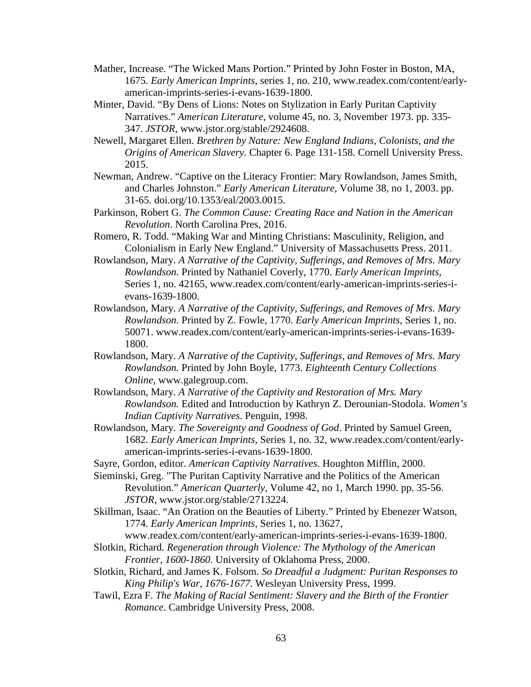- Mather, Increase. "The Wicked Mans Portion." Printed by John Foster in Boston, MA, 1675. *Early American Imprints*, series 1, no. 210, www.readex.com/content/earlyamerican-imprints-series-i-evans-1639-1800.
- Minter, David. "By Dens of Lions: Notes on Stylization in Early Puritan Captivity Narratives." *American Literature*, volume 45, no. 3, November 1973. pp. 335- 347. *JSTOR*, www.jstor.org/stable/2924608.
- Newell, Margaret Ellen. *Brethren by Nature: New England Indians, Colonists, and the Origins of American Slavery.* Chapter 6. Page 131-158. Cornell University Press. 2015.
- Newman, Andrew. "Captive on the Literacy Frontier: Mary Rowlandson, James Smith, and Charles Johnston." *Early American Literature*, Volume 38, no 1, 2003. pp. 31-65. doi.org/10.1353/eal/2003.0015.
- Parkinson, Robert G. *The Common Cause: Creating Race and Nation in the American Revolution*. North Carolina Pres, 2016.
- Romero, R. Todd. "Making War and Minting Christians: Masculinity, Religion, and Colonialism in Early New England." University of Massachusetts Press. 2011.
- Rowlandson, Mary. *A Narrative of the Captivity, Sufferings, and Removes of Mrs. Mary Rowlandson*. Printed by Nathaniel Coverly, 1770. *Early American Imprints,* Series 1, no. 42165, www.readex.com/content/early-american-imprints-series-ievans-1639-1800.
- Rowlandson, Mary. *A Narrative of the Captivity, Sufferings, and Removes of Mrs. Mary Rowlandson*. Printed by Z. Fowle, 1770. *Early American Imprints,* Series 1, no. 50071. www.readex.com/content/early-american-imprints-series-i-evans-1639- 1800.
- Rowlandson, Mary. *A Narrative of the Captivity, Sufferings, and Removes of Mrs. Mary Rowlandson.* Printed by John Boyle, 1773. *Eighteenth Century Collections Online*, www.galegroup.com.
- Rowlandson, Mary. *A Narrative of the Captivity and Restoration of Mrs. Mary Rowlandson.* Edited and Introduction by Kathryn Z. Derounian-Stodola. *Women's Indian Captivity Narratives*. Penguin, 1998.
- Rowlandson, Mary. *The Sovereignty and Goodness of God*. Printed by Samuel Green, 1682. *Early American Imprints,* Series 1, no. 32, www.readex.com/content/earlyamerican-imprints-series-i-evans-1639-1800.
- Sayre, Gordon, editor. *American Captivity Narratives*. Houghton Mifflin, 2000.
- Sieminski, Greg. "The Puritan Captivity Narrative and the Politics of the American Revolution." *American Quarterly*, Volume 42, no 1, March 1990. pp. 35-56. *JSTOR*, www.jstor.org/stable/2713224.
- Skillman, Isaac. "An Oration on the Beauties of Liberty." Printed by Ebenezer Watson, 1774. *Early American Imprints*, Series 1, no. 13627,

www.readex.com/content/early-american-imprints-series-i-evans-1639-1800.

- Slotkin, Richard. *Regeneration through Violence: The Mythology of the American Frontier, 1600-1860*. University of Oklahoma Press, 2000.
- Slotkin, Richard, and James K. Folsom. *So Dreadful a Judgment: Puritan Responses to King Philip's War, 1676-1677*. Wesleyan University Press, 1999.
- Tawil, Ezra F. *The Making of Racial Sentiment: Slavery and the Birth of the Frontier Romance*. Cambridge University Press, 2008.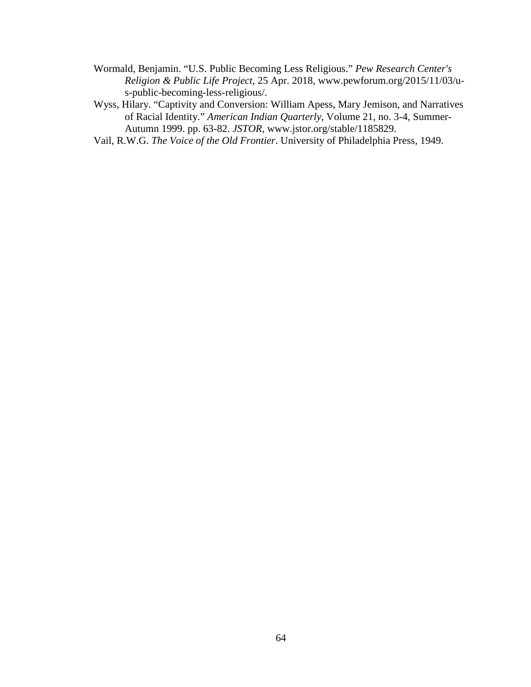- Wormald, Benjamin. "U.S. Public Becoming Less Religious." *Pew Research Center's Religion & Public Life Project*, 25 Apr. 2018, www.pewforum.org/2015/11/03/us-public-becoming-less-religious/.
- Wyss, Hilary. "Captivity and Conversion: William Apess, Mary Jemison, and Narratives of Racial Identity." *American Indian Quarterly*, Volume 21, no. 3-4, Summer-Autumn 1999. pp. 63-82. *JSTOR*, www.jstor.org/stable/1185829.
- Vail, R.W.G. *The Voice of the Old Frontier*. University of Philadelphia Press, 1949.